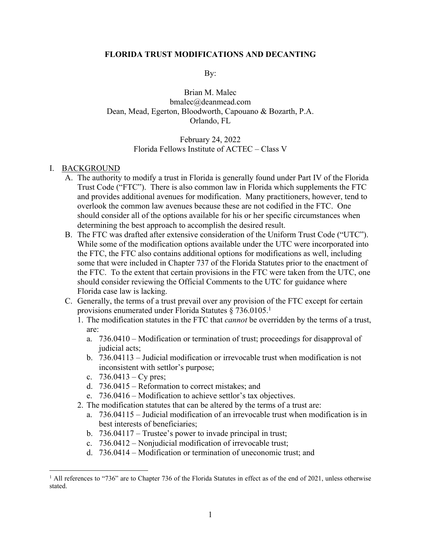### **FLORIDA TRUST MODIFICATIONS AND DECANTING**

By:

Brian M. Malec bmalec@deanmead.com Dean, Mead, Egerton, Bloodworth, Capouano & Bozarth, P.A. Orlando, FL

### February 24, 2022 Florida Fellows Institute of ACTEC – Class V

#### I. BACKGROUND

- A. The authority to modify a trust in Florida is generally found under Part IV of the Florida Trust Code ("FTC"). There is also common law in Florida which supplements the FTC and provides additional avenues for modification. Many practitioners, however, tend to overlook the common law avenues because these are not codified in the FTC. One should consider all of the options available for his or her specific circumstances when determining the best approach to accomplish the desired result.
- B. The FTC was drafted after extensive consideration of the Uniform Trust Code ("UTC"). While some of the modification options available under the UTC were incorporated into the FTC, the FTC also contains additional options for modifications as well, including some that were included in Chapter 737 of the Florida Statutes prior to the enactment of the FTC. To the extent that certain provisions in the FTC were taken from the UTC, one should consider reviewing the Official Comments to the UTC for guidance where Florida case law is lacking.
- C. Generally, the terms of a trust prevail over any provision of the FTC except for certain provisions enumerated under Florida Statutes § 736.0105.<sup>1</sup>
	- 1. The modification statutes in the FTC that *cannot* be overridden by the terms of a trust, are:
		- a. 736.0410 Modification or termination of trust; proceedings for disapproval of judicial acts;
		- b. 736.04113 Judicial modification or irrevocable trust when modification is not inconsistent with settlor's purpose;
		- c. 736.0413 Cy pres;
		- d. 736.0415 Reformation to correct mistakes; and
		- e. 736.0416 Modification to achieve settlor's tax objectives.
	- 2. The modification statutes that can be altered by the terms of a trust are:
		- a. 736.04115 Judicial modification of an irrevocable trust when modification is in best interests of beneficiaries;
		- b. 736.04117 Trustee's power to invade principal in trust;
		- c. 736.0412 Nonjudicial modification of irrevocable trust;
		- d. 736.0414 Modification or termination of uneconomic trust; and

<sup>&</sup>lt;sup>1</sup> All references to "736" are to Chapter 736 of the Florida Statutes in effect as of the end of 2021, unless otherwise stated.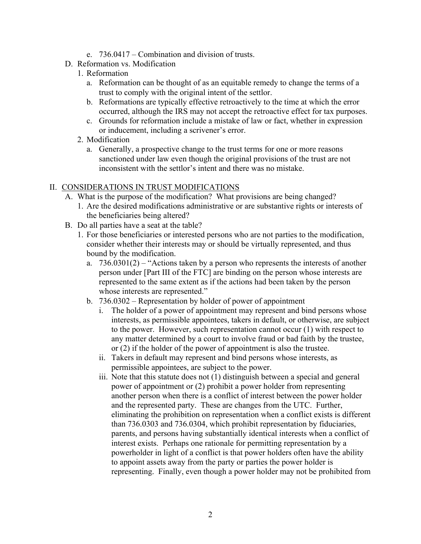- e. 736.0417 Combination and division of trusts.
- D. Reformation vs. Modification
	- 1. Reformation
		- a. Reformation can be thought of as an equitable remedy to change the terms of a trust to comply with the original intent of the settlor.
		- b. Reformations are typically effective retroactively to the time at which the error occurred, although the IRS may not accept the retroactive effect for tax purposes.
		- c. Grounds for reformation include a mistake of law or fact, whether in expression or inducement, including a scrivener's error.
	- 2. Modification
		- a. Generally, a prospective change to the trust terms for one or more reasons sanctioned under law even though the original provisions of the trust are not inconsistent with the settlor's intent and there was no mistake.

### II. CONSIDERATIONS IN TRUST MODIFICATIONS

- A. What is the purpose of the modification? What provisions are being changed?
	- 1. Are the desired modifications administrative or are substantive rights or interests of the beneficiaries being altered?
- B. Do all parties have a seat at the table?
	- 1. For those beneficiaries or interested persons who are not parties to the modification, consider whether their interests may or should be virtually represented, and thus bound by the modification.
		- a. 736.0301(2) "Actions taken by a person who represents the interests of another person under [Part III of the FTC] are binding on the person whose interests are represented to the same extent as if the actions had been taken by the person whose interests are represented."
		- b. 736.0302 Representation by holder of power of appointment
			- i. The holder of a power of appointment may represent and bind persons whose interests, as permissible appointees, takers in default, or otherwise, are subject to the power. However, such representation cannot occur (1) with respect to any matter determined by a court to involve fraud or bad faith by the trustee, or (2) if the holder of the power of appointment is also the trustee.
			- ii. Takers in default may represent and bind persons whose interests, as permissible appointees, are subject to the power.
			- iii. Note that this statute does not (1) distinguish between a special and general power of appointment or (2) prohibit a power holder from representing another person when there is a conflict of interest between the power holder and the represented party. These are changes from the UTC. Further, eliminating the prohibition on representation when a conflict exists is different than 736.0303 and 736.0304, which prohibit representation by fiduciaries, parents, and persons having substantially identical interests when a conflict of interest exists. Perhaps one rationale for permitting representation by a powerholder in light of a conflict is that power holders often have the ability to appoint assets away from the party or parties the power holder is representing. Finally, even though a power holder may not be prohibited from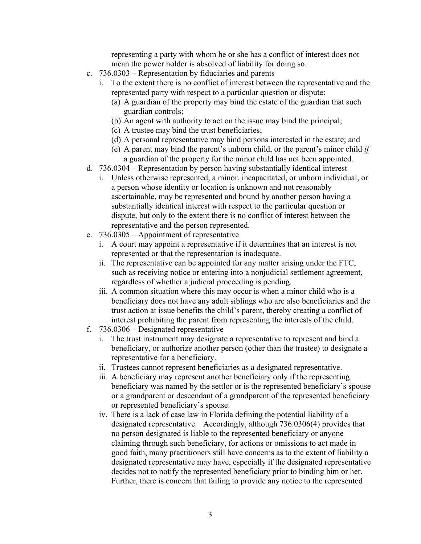representing a party with whom he or she has a conflict of interest does not mean the power holder is absolved of liability for doing so.

- c. 736.0303 Representation by fiduciaries and parents
	- i. To the extent there is no conflict of interest between the representative and the represented party with respect to a particular question or dispute:
		- (a) A guardian of the property may bind the estate of the guardian that such guardian controls;
		- (b) An agent with authority to act on the issue may bind the principal;
		- (c) A trustee may bind the trust beneficiaries;
		- (d) A personal representative may bind persons interested in the estate; and
		- (e) A parent may bind the parent's unborn child, or the parent's minor child *if* a guardian of the property for the minor child has not been appointed.
- d. 736.0304 Representation by person having substantially identical interest
	- i. Unless otherwise represented, a minor, incapacitated, or unborn individual, or a person whose identity or location is unknown and not reasonably ascertainable, may be represented and bound by another person having a substantially identical interest with respect to the particular question or dispute, but only to the extent there is no conflict of interest between the representative and the person represented.
- e. 736.0305 Appointment of representative
	- i. A court may appoint a representative if it determines that an interest is not represented or that the representation is inadequate.
	- ii. The representative can be appointed for any matter arising under the FTC, such as receiving notice or entering into a nonjudicial settlement agreement, regardless of whether a judicial proceeding is pending.
	- iii. A common situation where this may occur is when a minor child who is a beneficiary does not have any adult siblings who are also beneficiaries and the trust action at issue benefits the child's parent, thereby creating a conflict of interest prohibiting the parent from representing the interests of the child.
- f. 736.0306 Designated representative
	- i. The trust instrument may designate a representative to represent and bind a beneficiary, or authorize another person (other than the trustee) to designate a representative for a beneficiary.
	- ii. Trustees cannot represent beneficiaries as a designated representative.
	- iii. A beneficiary may represent another beneficiary only if the representing beneficiary was named by the settlor or is the represented beneficiary's spouse or a grandparent or descendant of a grandparent of the represented beneficiary or represented beneficiary's spouse.
	- iv. There is a lack of case law in Florida defining the potential liability of a designated representative. Accordingly, although 736.0306(4) provides that no person designated is liable to the represented beneficiary or anyone claiming through such beneficiary, for actions or omissions to act made in good faith, many practitioners still have concerns as to the extent of liability a designated representative may have, especially if the designated representative decides not to notify the represented beneficiary prior to binding him or her. Further, there is concern that failing to provide any notice to the represented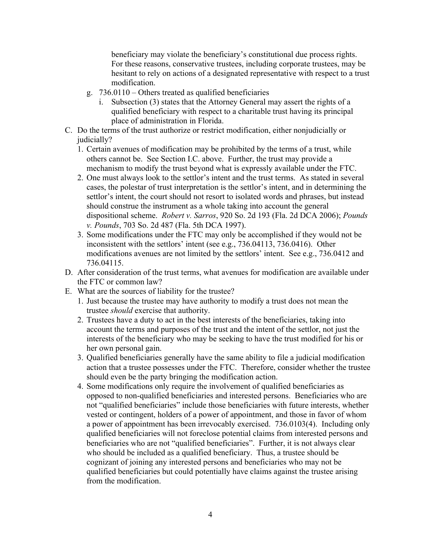beneficiary may violate the beneficiary's constitutional due process rights. For these reasons, conservative trustees, including corporate trustees, may be hesitant to rely on actions of a designated representative with respect to a trust modification.

- g. 736.0110 Others treated as qualified beneficiaries
	- i. Subsection (3) states that the Attorney General may assert the rights of a qualified beneficiary with respect to a charitable trust having its principal place of administration in Florida.
- C. Do the terms of the trust authorize or restrict modification, either nonjudicially or judicially?
	- 1. Certain avenues of modification may be prohibited by the terms of a trust, while others cannot be. See Section I.C. above. Further, the trust may provide a mechanism to modify the trust beyond what is expressly available under the FTC.
	- 2. One must always look to the settlor's intent and the trust terms. As stated in several cases, the polestar of trust interpretation is the settlor's intent, and in determining the settlor's intent, the court should not resort to isolated words and phrases, but instead should construe the instrument as a whole taking into account the general dispositional scheme. *Robert v. Sarros*, 920 So. 2d 193 (Fla. 2d DCA 2006); *Pounds v. Pounds*, 703 So. 2d 487 (Fla. 5th DCA 1997).
	- 3. Some modifications under the FTC may only be accomplished if they would not be inconsistent with the settlors' intent (see e.g., 736.04113, 736.0416). Other modifications avenues are not limited by the settlors' intent. See e.g., 736.0412 and 736.04115.
- D. After consideration of the trust terms, what avenues for modification are available under the FTC or common law?
- E. What are the sources of liability for the trustee?
	- 1. Just because the trustee may have authority to modify a trust does not mean the trustee *should* exercise that authority.
	- 2. Trustees have a duty to act in the best interests of the beneficiaries, taking into account the terms and purposes of the trust and the intent of the settlor, not just the interests of the beneficiary who may be seeking to have the trust modified for his or her own personal gain.
	- 3. Qualified beneficiaries generally have the same ability to file a judicial modification action that a trustee possesses under the FTC. Therefore, consider whether the trustee should even be the party bringing the modification action.
	- 4. Some modifications only require the involvement of qualified beneficiaries as opposed to non-qualified beneficiaries and interested persons. Beneficiaries who are not "qualified beneficiaries" include those beneficiaries with future interests, whether vested or contingent, holders of a power of appointment, and those in favor of whom a power of appointment has been irrevocably exercised. 736.0103(4). Including only qualified beneficiaries will not foreclose potential claims from interested persons and beneficiaries who are not "qualified beneficiaries". Further, it is not always clear who should be included as a qualified beneficiary. Thus, a trustee should be cognizant of joining any interested persons and beneficiaries who may not be qualified beneficiaries but could potentially have claims against the trustee arising from the modification.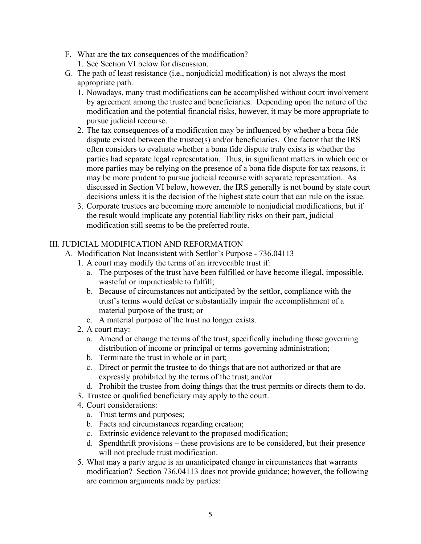- F. What are the tax consequences of the modification? 1. See Section VI below for discussion.
- G. The path of least resistance (i.e., nonjudicial modification) is not always the most appropriate path.
	- 1. Nowadays, many trust modifications can be accomplished without court involvement by agreement among the trustee and beneficiaries. Depending upon the nature of the modification and the potential financial risks, however, it may be more appropriate to pursue judicial recourse.
	- 2. The tax consequences of a modification may be influenced by whether a bona fide dispute existed between the trustee(s) and/or beneficiaries. One factor that the IRS often considers to evaluate whether a bona fide dispute truly exists is whether the parties had separate legal representation. Thus, in significant matters in which one or more parties may be relying on the presence of a bona fide dispute for tax reasons, it may be more prudent to pursue judicial recourse with separate representation. As discussed in Section VI below, however, the IRS generally is not bound by state court decisions unless it is the decision of the highest state court that can rule on the issue.
	- 3. Corporate trustees are becoming more amenable to nonjudicial modifications, but if the result would implicate any potential liability risks on their part, judicial modification still seems to be the preferred route.

# III. JUDICIAL MODIFICATION AND REFORMATION

- A. Modification Not Inconsistent with Settlor's Purpose 736.04113
	- 1. A court may modify the terms of an irrevocable trust if:
		- a. The purposes of the trust have been fulfilled or have become illegal, impossible, wasteful or impracticable to fulfill;
		- b. Because of circumstances not anticipated by the settlor, compliance with the trust's terms would defeat or substantially impair the accomplishment of a material purpose of the trust; or
		- c. A material purpose of the trust no longer exists.
	- 2. A court may:
		- a. Amend or change the terms of the trust, specifically including those governing distribution of income or principal or terms governing administration;
		- b. Terminate the trust in whole or in part;
		- c. Direct or permit the trustee to do things that are not authorized or that are expressly prohibited by the terms of the trust; and/or
		- d. Prohibit the trustee from doing things that the trust permits or directs them to do.
	- 3. Trustee or qualified beneficiary may apply to the court.
	- 4. Court considerations:
		- a. Trust terms and purposes;
		- b. Facts and circumstances regarding creation;
		- c. Extrinsic evidence relevant to the proposed modification;
		- d. Spendthrift provisions these provisions are to be considered, but their presence will not preclude trust modification.
	- 5. What may a party argue is an unanticipated change in circumstances that warrants modification? Section 736.04113 does not provide guidance; however, the following are common arguments made by parties: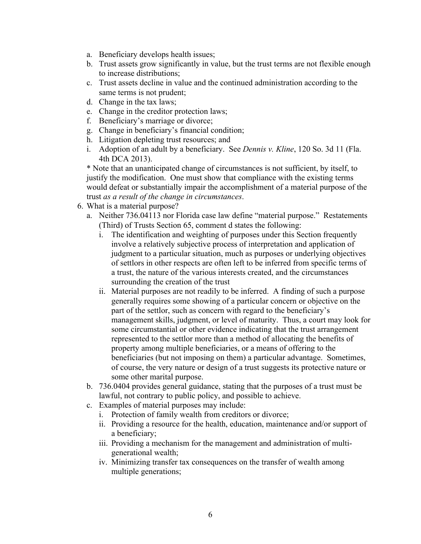- a. Beneficiary develops health issues;
- b. Trust assets grow significantly in value, but the trust terms are not flexible enough to increase distributions;
- c. Trust assets decline in value and the continued administration according to the same terms is not prudent;
- d. Change in the tax laws;
- e. Change in the creditor protection laws;
- f. Beneficiary's marriage or divorce;
- g. Change in beneficiary's financial condition;
- h. Litigation depleting trust resources; and
- i. Adoption of an adult by a beneficiary. See *Dennis v. Kline*, 120 So. 3d 11 (Fla. 4th DCA 2013).

\* Note that an unanticipated change of circumstances is not sufficient, by itself, to justify the modification. One must show that compliance with the existing terms would defeat or substantially impair the accomplishment of a material purpose of the trust *as a result of the change in circumstances*.

- 6. What is a material purpose?
	- a. Neither 736.04113 nor Florida case law define "material purpose." Restatements (Third) of Trusts Section 65, comment d states the following:
		- i. The identification and weighting of purposes under this Section frequently involve a relatively subjective process of interpretation and application of judgment to a particular situation, much as purposes or underlying objectives of settlors in other respects are often left to be inferred from specific terms of a trust, the nature of the various interests created, and the circumstances surrounding the creation of the trust
		- ii. Material purposes are not readily to be inferred. A finding of such a purpose generally requires some showing of a particular concern or objective on the part of the settlor, such as concern with regard to the beneficiary's management skills, judgment, or level of maturity. Thus, a court may look for some circumstantial or other evidence indicating that the trust arrangement represented to the settlor more than a method of allocating the benefits of property among multiple beneficiaries, or a means of offering to the beneficiaries (but not imposing on them) a particular advantage. Sometimes, of course, the very nature or design of a trust suggests its protective nature or some other marital purpose.
	- b. 736.0404 provides general guidance, stating that the purposes of a trust must be lawful, not contrary to public policy, and possible to achieve.
	- c. Examples of material purposes may include:
		- i. Protection of family wealth from creditors or divorce;
		- ii. Providing a resource for the health, education, maintenance and/or support of a beneficiary;
		- iii. Providing a mechanism for the management and administration of multigenerational wealth;
		- iv. Minimizing transfer tax consequences on the transfer of wealth among multiple generations;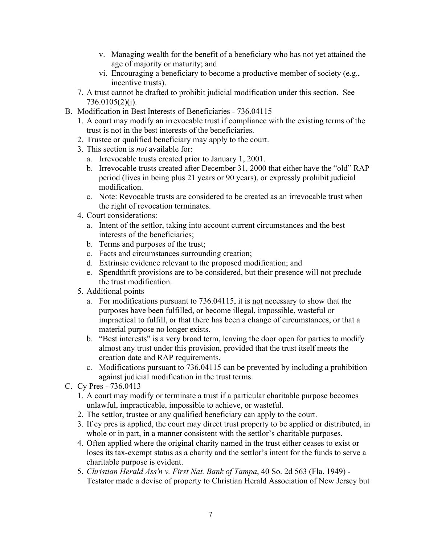- v. Managing wealth for the benefit of a beneficiary who has not yet attained the age of majority or maturity; and
- vi. Encouraging a beneficiary to become a productive member of society (e.g., incentive trusts).
- 7. A trust cannot be drafted to prohibit judicial modification under this section. See 736.0105(2)(j).
- B. Modification in Best Interests of Beneficiaries 736.04115
	- 1. A court may modify an irrevocable trust if compliance with the existing terms of the trust is not in the best interests of the beneficiaries.
	- 2. Trustee or qualified beneficiary may apply to the court.
	- 3. This section is *not* available for:
		- a. Irrevocable trusts created prior to January 1, 2001.
		- b. Irrevocable trusts created after December 31, 2000 that either have the "old" RAP period (lives in being plus 21 years or 90 years), or expressly prohibit judicial modification.
		- c. Note: Revocable trusts are considered to be created as an irrevocable trust when the right of revocation terminates.
	- 4. Court considerations:
		- a. Intent of the settlor, taking into account current circumstances and the best interests of the beneficiaries;
		- b. Terms and purposes of the trust;
		- c. Facts and circumstances surrounding creation;
		- d. Extrinsic evidence relevant to the proposed modification; and
		- e. Spendthrift provisions are to be considered, but their presence will not preclude the trust modification.
	- 5. Additional points
		- a. For modifications pursuant to 736.04115, it is not necessary to show that the purposes have been fulfilled, or become illegal, impossible, wasteful or impractical to fulfill, or that there has been a change of circumstances, or that a material purpose no longer exists.
		- b. "Best interests" is a very broad term, leaving the door open for parties to modify almost any trust under this provision, provided that the trust itself meets the creation date and RAP requirements.
		- c. Modifications pursuant to 736.04115 can be prevented by including a prohibition against judicial modification in the trust terms.
- C. Cy Pres 736.0413
	- 1. A court may modify or terminate a trust if a particular charitable purpose becomes unlawful, impracticable, impossible to achieve, or wasteful.
	- 2. The settlor, trustee or any qualified beneficiary can apply to the court.
	- 3. If cy pres is applied, the court may direct trust property to be applied or distributed, in whole or in part, in a manner consistent with the settlor's charitable purposes.
	- 4. Often applied where the original charity named in the trust either ceases to exist or loses its tax-exempt status as a charity and the settlor's intent for the funds to serve a charitable purpose is evident.
	- 5. *Christian Herald Ass'n v. First Nat. Bank of Tampa*, 40 So. 2d 563 (Fla. 1949) Testator made a devise of property to Christian Herald Association of New Jersey but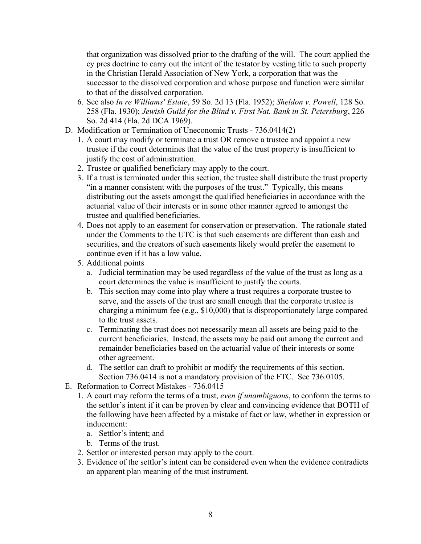that organization was dissolved prior to the drafting of the will. The court applied the cy pres doctrine to carry out the intent of the testator by vesting title to such property in the Christian Herald Association of New York, a corporation that was the successor to the dissolved corporation and whose purpose and function were similar to that of the dissolved corporation.

- 6. See also *In re Williams' Estate*, 59 So. 2d 13 (Fla. 1952); *Sheldon v. Powell*, 128 So. 258 (Fla. 1930); *Jewish Guild for the Blind v. First Nat. Bank in St. Petersburg*, 226 So. 2d 414 (Fla. 2d DCA 1969).
- D. Modification or Termination of Uneconomic Trusts 736.0414(2)
	- 1. A court may modify or terminate a trust OR remove a trustee and appoint a new trustee if the court determines that the value of the trust property is insufficient to justify the cost of administration.
	- 2. Trustee or qualified beneficiary may apply to the court.
	- 3. If a trust is terminated under this section, the trustee shall distribute the trust property "in a manner consistent with the purposes of the trust." Typically, this means distributing out the assets amongst the qualified beneficiaries in accordance with the actuarial value of their interests or in some other manner agreed to amongst the trustee and qualified beneficiaries.
	- 4. Does not apply to an easement for conservation or preservation. The rationale stated under the Comments to the UTC is that such easements are different than cash and securities, and the creators of such easements likely would prefer the easement to continue even if it has a low value.
	- 5. Additional points
		- a. Judicial termination may be used regardless of the value of the trust as long as a court determines the value is insufficient to justify the courts.
		- b. This section may come into play where a trust requires a corporate trustee to serve, and the assets of the trust are small enough that the corporate trustee is charging a minimum fee (e.g., \$10,000) that is disproportionately large compared to the trust assets.
		- c. Terminating the trust does not necessarily mean all assets are being paid to the current beneficiaries. Instead, the assets may be paid out among the current and remainder beneficiaries based on the actuarial value of their interests or some other agreement.
		- d. The settlor can draft to prohibit or modify the requirements of this section. Section 736.0414 is not a mandatory provision of the FTC. See 736.0105.
- E. Reformation to Correct Mistakes 736.0415
	- 1. A court may reform the terms of a trust, *even if unambiguous*, to conform the terms to the settlor's intent if it can be proven by clear and convincing evidence that BOTH of the following have been affected by a mistake of fact or law, whether in expression or inducement:
		- a. Settlor's intent; and
		- b. Terms of the trust.
	- 2. Settlor or interested person may apply to the court.
	- 3. Evidence of the settlor's intent can be considered even when the evidence contradicts an apparent plan meaning of the trust instrument.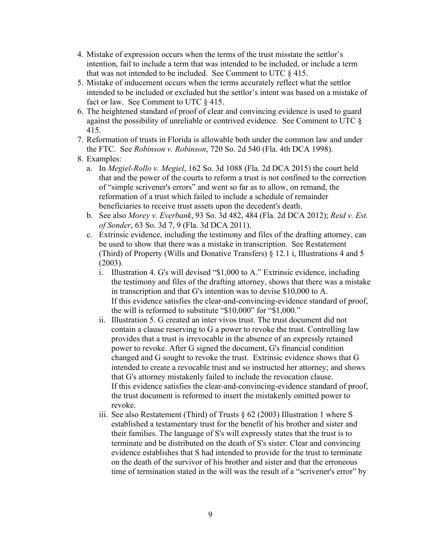- 4. Mistake of expression occurs when the terms of the trust misstate the settlor's intention, fail to include a term that was intended to be included, or include a term that was not intended to be included. See Comment to UTC § 415.
- 5. Mistake of inducement occurs when the terms accurately reflect what the settlor intended to be included or excluded but the settlor's intent was based on a mistake of fact or law. See Comment to UTC § 415.
- 6. The heightened standard of proof of clear and convincing evidence is used to guard against the possibility of unreliable or contrived evidence. See Comment to UTC § 415.
- 7. Reformation of trusts in Florida is allowable both under the common law and under the FTC. See *Robinson v. Robinson*, 720 So. 2d 540 (Fla. 4th DCA 1998).
- 8. Examples:
	- a. In *Megiel-Rollo v. Megiel*, 162 So. 3d 1088 (Fla. 2d DCA 2015) the court held that and the power of the courts to reform a trust is not confined to the correction of "simple scrivener's errors" and went so far as to allow, on remand, the reformation of a trust which failed to include a schedule of remainder beneficiaries to receive trust assets upon the decedent's death.
	- b. See also *Morey v. Everbank*, 93 So. 3d 482, 484 (Fla. 2d DCA 2012); *Reid v. Est. of Sonder*, 63 So. 3d 7, 9 (Fla. 3d DCA 2011).
	- c. Extrinsic evidence, including the testimony and files of the drafting attorney, can be used to show that there was a mistake in transcription. See Restatement (Third) of Property (Wills and Donative Transfers) § 12.1 i, Illustrations 4 and 5 (2003).
		- i. Illustration 4. G's will devised "\$1,000 to A." Extrinsic evidence, including the testimony and files of the drafting attorney, shows that there was a mistake in transcription and that G's intention was to devise \$10,000 to A. If this evidence satisfies the clear-and-convincing-evidence standard of proof, the will is reformed to substitute "\$10,000" for "\$1,000."
		- ii. Illustration 5. G created an inter vivos trust. The trust document did not contain a clause reserving to G a power to revoke the trust. Controlling law provides that a trust is irrevocable in the absence of an expressly retained power to revoke. After G signed the document, G's financial condition changed and G sought to revoke the trust. Extrinsic evidence shows that G intended to create a revocable trust and so instructed her attorney; and shows that G's attorney mistakenly failed to include the revocation clause. If this evidence satisfies the clear-and-convincing-evidence standard of proof, the trust document is reformed to insert the mistakenly omitted power to revoke.
		- iii. See also Restatement (Third) of Trusts § 62 (2003) Illustration 1 where S established a testamentary trust for the benefit of his brother and sister and their families. The language of S's will expressly states that the trust is to terminate and be distributed on the death of S's sister. Clear and convincing evidence establishes that S had intended to provide for the trust to terminate on the death of the survivor of his brother and sister and that the erroneous time of termination stated in the will was the result of a "scrivener's error" by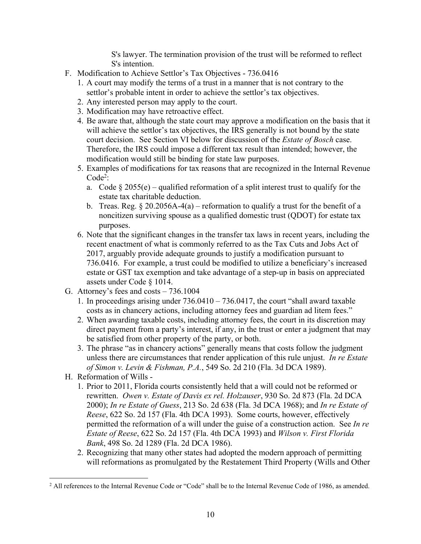S's lawyer. The termination provision of the trust will be reformed to reflect S's intention.

- F. Modification to Achieve Settlor's Tax Objectives 736.0416
	- 1. A court may modify the terms of a trust in a manner that is not contrary to the settlor's probable intent in order to achieve the settlor's tax objectives.
	- 2. Any interested person may apply to the court.
	- 3. Modification may have retroactive effect.
	- 4. Be aware that, although the state court may approve a modification on the basis that it will achieve the settlor's tax objectives, the IRS generally is not bound by the state court decision. See Section VI below for discussion of the *Estate of Bosch* case. Therefore, the IRS could impose a different tax result than intended; however, the modification would still be binding for state law purposes.
	- 5. Examples of modifications for tax reasons that are recognized in the Internal Revenue Code<sup>2</sup>:
		- a. Code  $\S 2055(e)$  qualified reformation of a split interest trust to qualify for the estate tax charitable deduction.
		- b. Treas. Reg.  $\S 20.2056A-4(a)$  reformation to qualify a trust for the benefit of a noncitizen surviving spouse as a qualified domestic trust (QDOT) for estate tax purposes.
	- 6. Note that the significant changes in the transfer tax laws in recent years, including the recent enactment of what is commonly referred to as the Tax Cuts and Jobs Act of 2017, arguably provide adequate grounds to justify a modification pursuant to 736.0416. For example, a trust could be modified to utilize a beneficiary's increased estate or GST tax exemption and take advantage of a step-up in basis on appreciated assets under Code § 1014.
- G. Attorney's fees and costs 736.1004
	- 1. In proceedings arising under 736.0410 736.0417, the court "shall award taxable costs as in chancery actions, including attorney fees and guardian ad litem fees."
	- 2. When awarding taxable costs, including attorney fees, the court in its discretion may direct payment from a party's interest, if any, in the trust or enter a judgment that may be satisfied from other property of the party, or both.
	- 3. The phrase "as in chancery actions" generally means that costs follow the judgment unless there are circumstances that render application of this rule unjust. *In re Estate of Simon v. Levin & Fishman, P.A.*, 549 So. 2d 210 (Fla. 3d DCA 1989).
- H. Reformation of Wills
	- 1. Prior to 2011, Florida courts consistently held that a will could not be reformed or rewritten. *Owen v. Estate of Davis ex rel. Holzauser*, 930 So. 2d 873 (Fla. 2d DCA 2000); *In re Estate of Guess*, 213 So. 2d 638 (Fla. 3d DCA 1968); and *In re Estate of Reese*, 622 So. 2d 157 (Fla. 4th DCA 1993). Some courts, however, effectively permitted the reformation of a will under the guise of a construction action. See *In re Estate of Reese*, 622 So. 2d 157 (Fla. 4th DCA 1993) and *Wilson v. First Florida Bank*, 498 So. 2d 1289 (Fla. 2d DCA 1986).
	- 2. Recognizing that many other states had adopted the modern approach of permitting will reformations as promulgated by the Restatement Third Property (Wills and Other

<sup>&</sup>lt;sup>2</sup> All references to the Internal Revenue Code or "Code" shall be to the Internal Revenue Code of 1986, as amended.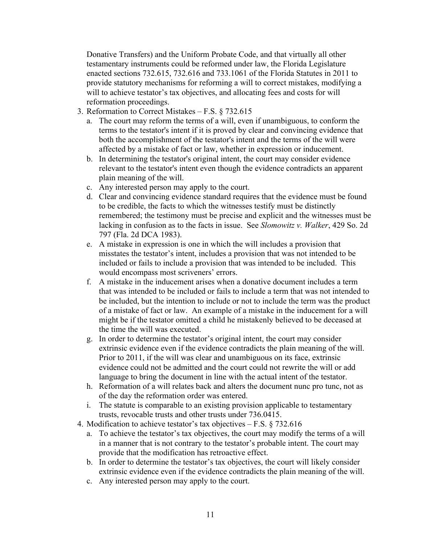Donative Transfers) and the Uniform Probate Code, and that virtually all other testamentary instruments could be reformed under law, the Florida Legislature enacted sections 732.615, 732.616 and 733.1061 of the Florida Statutes in 2011 to provide statutory mechanisms for reforming a will to correct mistakes, modifying a will to achieve testator's tax objectives, and allocating fees and costs for will reformation proceedings.

- 3. Reformation to Correct Mistakes F.S. § 732.615
	- a. The court may reform the terms of a will, even if unambiguous, to conform the terms to the testator's intent if it is proved by clear and convincing evidence that both the accomplishment of the testator's intent and the terms of the will were affected by a mistake of fact or law, whether in expression or inducement.
	- b. In determining the testator's original intent, the court may consider evidence relevant to the testator's intent even though the evidence contradicts an apparent plain meaning of the will.
	- c. Any interested person may apply to the court.
	- d. Clear and convincing evidence standard requires that the evidence must be found to be credible, the facts to which the witnesses testify must be distinctly remembered; the testimony must be precise and explicit and the witnesses must be lacking in confusion as to the facts in issue. See *Slomowitz v. Walker*, 429 So. 2d 797 (Fla. 2d DCA 1983).
	- e. A mistake in expression is one in which the will includes a provision that misstates the testator's intent, includes a provision that was not intended to be included or fails to include a provision that was intended to be included. This would encompass most scriveners' errors.
	- f. A mistake in the inducement arises when a donative document includes a term that was intended to be included or fails to include a term that was not intended to be included, but the intention to include or not to include the term was the product of a mistake of fact or law. An example of a mistake in the inducement for a will might be if the testator omitted a child he mistakenly believed to be deceased at the time the will was executed.
	- g. In order to determine the testator's original intent, the court may consider extrinsic evidence even if the evidence contradicts the plain meaning of the will. Prior to 2011, if the will was clear and unambiguous on its face, extrinsic evidence could not be admitted and the court could not rewrite the will or add language to bring the document in line with the actual intent of the testator.
	- h. Reformation of a will relates back and alters the document nunc pro tunc, not as of the day the reformation order was entered.
	- i. The statute is comparable to an existing provision applicable to testamentary trusts, revocable trusts and other trusts under 736.0415.
- 4. Modification to achieve testator's tax objectives F.S. § 732.616
	- a. To achieve the testator's tax objectives, the court may modify the terms of a will in a manner that is not contrary to the testator's probable intent. The court may provide that the modification has retroactive effect.
	- b. In order to determine the testator's tax objectives, the court will likely consider extrinsic evidence even if the evidence contradicts the plain meaning of the will.
	- c. Any interested person may apply to the court.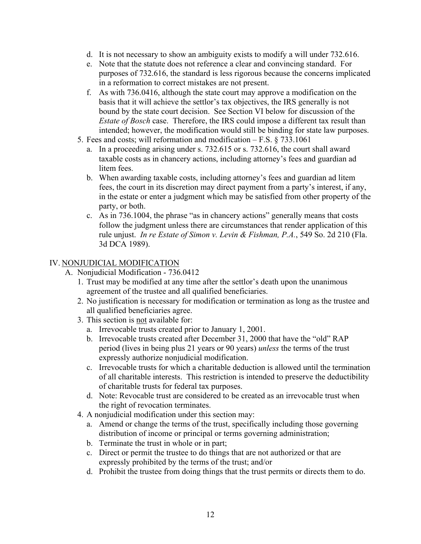- d. It is not necessary to show an ambiguity exists to modify a will under 732.616.
- e. Note that the statute does not reference a clear and convincing standard. For purposes of 732.616, the standard is less rigorous because the concerns implicated in a reformation to correct mistakes are not present.
- f. As with 736.0416, although the state court may approve a modification on the basis that it will achieve the settlor's tax objectives, the IRS generally is not bound by the state court decision. See Section VI below for discussion of the *Estate of Bosch* case. Therefore, the IRS could impose a different tax result than intended; however, the modification would still be binding for state law purposes.
- 5. Fees and costs; will reformation and modification F.S. § 733.1061
	- a. In a proceeding arising under s. 732.615 or s. 732.616, the court shall award taxable costs as in chancery actions, including attorney's fees and guardian ad litem fees.
	- b. When awarding taxable costs, including attorney's fees and guardian ad litem fees, the court in its discretion may direct payment from a party's interest, if any, in the estate or enter a judgment which may be satisfied from other property of the party, or both.
	- c. As in 736.1004, the phrase "as in chancery actions" generally means that costs follow the judgment unless there are circumstances that render application of this rule unjust. *In re Estate of Simon v. Levin & Fishman, P.A.*, 549 So. 2d 210 (Fla. 3d DCA 1989).

### IV. NONJUDICIAL MODIFICATION

- A. Nonjudicial Modification 736.0412
	- 1. Trust may be modified at any time after the settlor's death upon the unanimous agreement of the trustee and all qualified beneficiaries.
	- 2. No justification is necessary for modification or termination as long as the trustee and all qualified beneficiaries agree.
	- 3. This section is not available for:
		- a. Irrevocable trusts created prior to January 1, 2001.
		- b. Irrevocable trusts created after December 31, 2000 that have the "old" RAP period (lives in being plus 21 years or 90 years) *unless* the terms of the trust expressly authorize nonjudicial modification.
		- c. Irrevocable trusts for which a charitable deduction is allowed until the termination of all charitable interests. This restriction is intended to preserve the deductibility of charitable trusts for federal tax purposes.
		- d. Note: Revocable trust are considered to be created as an irrevocable trust when the right of revocation terminates.
	- 4. A nonjudicial modification under this section may:
		- a. Amend or change the terms of the trust, specifically including those governing distribution of income or principal or terms governing administration;
		- b. Terminate the trust in whole or in part;
		- c. Direct or permit the trustee to do things that are not authorized or that are expressly prohibited by the terms of the trust; and/or
		- d. Prohibit the trustee from doing things that the trust permits or directs them to do.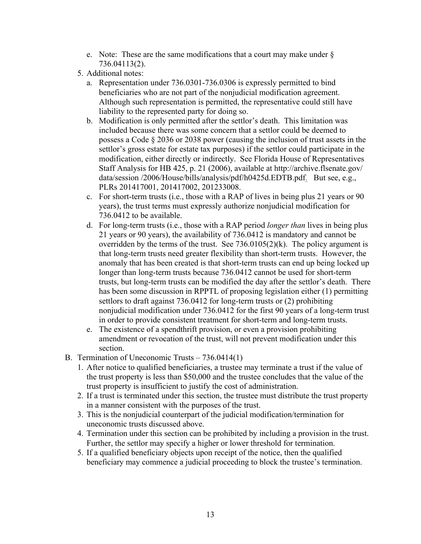- e. Note: These are the same modifications that a court may make under § 736.04113(2).
- 5. Additional notes:
	- a. Representation under 736.0301-736.0306 is expressly permitted to bind beneficiaries who are not part of the nonjudicial modification agreement. Although such representation is permitted, the representative could still have liability to the represented party for doing so.
	- b. Modification is only permitted after the settlor's death. This limitation was included because there was some concern that a settlor could be deemed to possess a Code § 2036 or 2038 power (causing the inclusion of trust assets in the settlor's gross estate for estate tax purposes) if the settlor could participate in the modification, either directly or indirectly. See Florida House of Representatives Staff Analysis for HB 425, p. 21 (2006), available at http://archive.flsenate.gov/ data/session /2006/House/bills/analysis/pdf/h0425d.EDTB.pdf. But see, e.g., PLRs 201417001, 201417002, 201233008.
	- c. For short-term trusts (i.e., those with a RAP of lives in being plus 21 years or 90 years), the trust terms must expressly authorize nonjudicial modification for 736.0412 to be available.
	- d. For long-term trusts (i.e., those with a RAP period *longer than* lives in being plus 21 years or 90 years), the availability of 736.0412 is mandatory and cannot be overridden by the terms of the trust. See  $736.0105(2)(k)$ . The policy argument is that long-term trusts need greater flexibility than short-term trusts. However, the anomaly that has been created is that short-term trusts can end up being locked up longer than long-term trusts because 736.0412 cannot be used for short-term trusts, but long-term trusts can be modified the day after the settlor's death. There has been some discussion in RPPTL of proposing legislation either (1) permitting settlors to draft against 736.0412 for long-term trusts or (2) prohibiting nonjudicial modification under 736.0412 for the first 90 years of a long-term trust in order to provide consistent treatment for short-term and long-term trusts.
	- e. The existence of a spendthrift provision, or even a provision prohibiting amendment or revocation of the trust, will not prevent modification under this section.
- B. Termination of Uneconomic Trusts 736.0414(1)
	- 1. After notice to qualified beneficiaries, a trustee may terminate a trust if the value of the trust property is less than \$50,000 and the trustee concludes that the value of the trust property is insufficient to justify the cost of administration.
	- 2. If a trust is terminated under this section, the trustee must distribute the trust property in a manner consistent with the purposes of the trust.
	- 3. This is the nonjudicial counterpart of the judicial modification/termination for uneconomic trusts discussed above.
	- 4. Termination under this section can be prohibited by including a provision in the trust. Further, the settlor may specify a higher or lower threshold for termination.
	- 5. If a qualified beneficiary objects upon receipt of the notice, then the qualified beneficiary may commence a judicial proceeding to block the trustee's termination.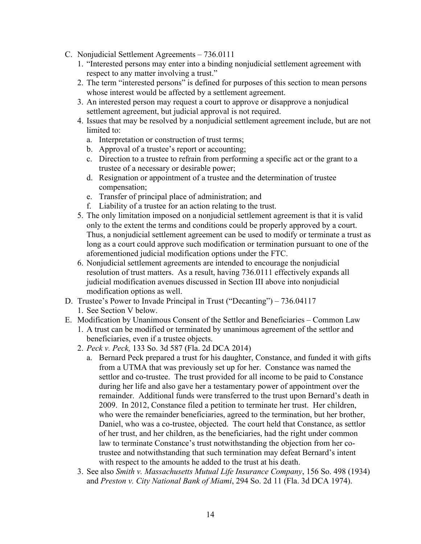- C. Nonjudicial Settlement Agreements 736.0111
	- 1. "Interested persons may enter into a binding nonjudicial settlement agreement with respect to any matter involving a trust."
	- 2. The term "interested persons" is defined for purposes of this section to mean persons whose interest would be affected by a settlement agreement.
	- 3. An interested person may request a court to approve or disapprove a nonjudical settlement agreement, but judicial approval is not required.
	- 4. Issues that may be resolved by a nonjudicial settlement agreement include, but are not limited to:
		- a. Interpretation or construction of trust terms;
		- b. Approval of a trustee's report or accounting;
		- c. Direction to a trustee to refrain from performing a specific act or the grant to a trustee of a necessary or desirable power;
		- d. Resignation or appointment of a trustee and the determination of trustee compensation;
		- e. Transfer of principal place of administration; and
		- f. Liability of a trustee for an action relating to the trust.
	- 5. The only limitation imposed on a nonjudicial settlement agreement is that it is valid only to the extent the terms and conditions could be properly approved by a court. Thus, a nonjudicial settlement agreement can be used to modify or terminate a trust as long as a court could approve such modification or termination pursuant to one of the aforementioned judicial modification options under the FTC.
	- 6. Nonjudicial settlement agreements are intended to encourage the nonjudicial resolution of trust matters. As a result, having 736.0111 effectively expands all judicial modification avenues discussed in Section III above into nonjudicial modification options as well.
- D. Trustee's Power to Invade Principal in Trust ("Decanting") 736.04117
	- 1. See Section V below.
- E. Modification by Unanimous Consent of the Settlor and Beneficiaries Common Law
	- 1. A trust can be modified or terminated by unanimous agreement of the settlor and beneficiaries, even if a trustee objects.
	- 2. *Peck v. Peck,* 133 So. 3d 587 (Fla. 2d DCA 2014)
		- a. Bernard Peck prepared a trust for his daughter, Constance, and funded it with gifts from a UTMA that was previously set up for her. Constance was named the settlor and co-trustee. The trust provided for all income to be paid to Constance during her life and also gave her a testamentary power of appointment over the remainder. Additional funds were transferred to the trust upon Bernard's death in 2009. In 2012, Constance filed a petition to terminate her trust. Her children, who were the remainder beneficiaries, agreed to the termination, but her brother, Daniel, who was a co-trustee, objected. The court held that Constance, as settlor of her trust, and her children, as the beneficiaries, had the right under common law to terminate Constance's trust notwithstanding the objection from her cotrustee and notwithstanding that such termination may defeat Bernard's intent with respect to the amounts he added to the trust at his death.
	- 3. See also *Smith v. Massachusetts Mutual Life Insurance Company*, 156 So. 498 (1934) and *Preston v. City National Bank of Miami*, 294 So. 2d 11 (Fla. 3d DCA 1974).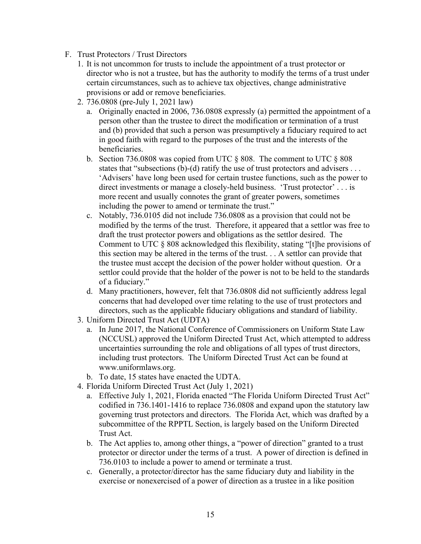- F. Trust Protectors / Trust Directors
	- 1. It is not uncommon for trusts to include the appointment of a trust protector or director who is not a trustee, but has the authority to modify the terms of a trust under certain circumstances, such as to achieve tax objectives, change administrative provisions or add or remove beneficiaries.
	- 2. 736.0808 (pre-July 1, 2021 law)
		- a. Originally enacted in 2006, 736.0808 expressly (a) permitted the appointment of a person other than the trustee to direct the modification or termination of a trust and (b) provided that such a person was presumptively a fiduciary required to act in good faith with regard to the purposes of the trust and the interests of the beneficiaries.
		- b. Section 736.0808 was copied from UTC § 808. The comment to UTC § 808 states that "subsections (b)-(d) ratify the use of trust protectors and advisers  $\dots$ 'Advisers' have long been used for certain trustee functions, such as the power to direct investments or manage a closely-held business. 'Trust protector' . . . is more recent and usually connotes the grant of greater powers, sometimes including the power to amend or terminate the trust."
		- c. Notably, 736.0105 did not include 736.0808 as a provision that could not be modified by the terms of the trust. Therefore, it appeared that a settlor was free to draft the trust protector powers and obligations as the settlor desired. The Comment to UTC § 808 acknowledged this flexibility, stating "[t]he provisions of this section may be altered in the terms of the trust. . . A settlor can provide that the trustee must accept the decision of the power holder without question. Or a settlor could provide that the holder of the power is not to be held to the standards of a fiduciary."
		- d. Many practitioners, however, felt that 736.0808 did not sufficiently address legal concerns that had developed over time relating to the use of trust protectors and directors, such as the applicable fiduciary obligations and standard of liability.
	- 3. Uniform Directed Trust Act (UDTA)
		- a. In June 2017, the National Conference of Commissioners on Uniform State Law (NCCUSL) approved the Uniform Directed Trust Act, which attempted to address uncertainties surrounding the role and obligations of all types of trust directors, including trust protectors. The Uniform Directed Trust Act can be found at www.uniformlaws.org.
		- b. To date, 15 states have enacted the UDTA.
	- 4. Florida Uniform Directed Trust Act (July 1, 2021)
		- a. Effective July 1, 2021, Florida enacted "The Florida Uniform Directed Trust Act" codified in 736.1401-1416 to replace 736.0808 and expand upon the statutory law governing trust protectors and directors. The Florida Act, which was drafted by a subcommittee of the RPPTL Section, is largely based on the Uniform Directed Trust Act.
		- b. The Act applies to, among other things, a "power of direction" granted to a trust protector or director under the terms of a trust. A power of direction is defined in 736.0103 to include a power to amend or terminate a trust.
		- c. Generally, a protector/director has the same fiduciary duty and liability in the exercise or nonexercised of a power of direction as a trustee in a like position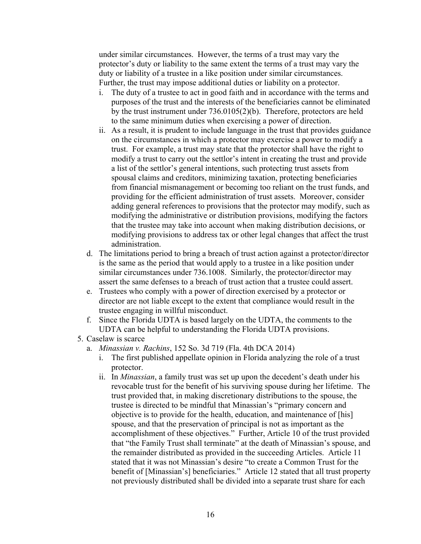under similar circumstances. However, the terms of a trust may vary the protector's duty or liability to the same extent the terms of a trust may vary the duty or liability of a trustee in a like position under similar circumstances. Further, the trust may impose additional duties or liability on a protector.

- i. The duty of a trustee to act in good faith and in accordance with the terms and purposes of the trust and the interests of the beneficiaries cannot be eliminated by the trust instrument under 736.0105(2)(b). Therefore, protectors are held to the same minimum duties when exercising a power of direction.
- ii. As a result, it is prudent to include language in the trust that provides guidance on the circumstances in which a protector may exercise a power to modify a trust. For example, a trust may state that the protector shall have the right to modify a trust to carry out the settlor's intent in creating the trust and provide a list of the settlor's general intentions, such protecting trust assets from spousal claims and creditors, minimizing taxation, protecting beneficiaries from financial mismanagement or becoming too reliant on the trust funds, and providing for the efficient administration of trust assets. Moreover, consider adding general references to provisions that the protector may modify, such as modifying the administrative or distribution provisions, modifying the factors that the trustee may take into account when making distribution decisions, or modifying provisions to address tax or other legal changes that affect the trust administration.
- d. The limitations period to bring a breach of trust action against a protector/director is the same as the period that would apply to a trustee in a like position under similar circumstances under 736.1008. Similarly, the protector/director may assert the same defenses to a breach of trust action that a trustee could assert.
- e. Trustees who comply with a power of direction exercised by a protector or director are not liable except to the extent that compliance would result in the trustee engaging in willful misconduct.
- f. Since the Florida UDTA is based largely on the UDTA, the comments to the UDTA can be helpful to understanding the Florida UDTA provisions.
- 5. Caselaw is scarce
	- a. *Minassian v. Rachins*, 152 So. 3d 719 (Fla. 4th DCA 2014)
		- i. The first published appellate opinion in Florida analyzing the role of a trust protector.
		- ii. In *Minassian*, a family trust was set up upon the decedent's death under his revocable trust for the benefit of his surviving spouse during her lifetime. The trust provided that, in making discretionary distributions to the spouse, the trustee is directed to be mindful that Minassian's "primary concern and objective is to provide for the health, education, and maintenance of [his] spouse, and that the preservation of principal is not as important as the accomplishment of these objectives." Further, Article 10 of the trust provided that "the Family Trust shall terminate" at the death of Minassian's spouse, and the remainder distributed as provided in the succeeding Articles. Article 11 stated that it was not Minassian's desire "to create a Common Trust for the benefit of [Minassian's] beneficiaries." Article 12 stated that all trust property not previously distributed shall be divided into a separate trust share for each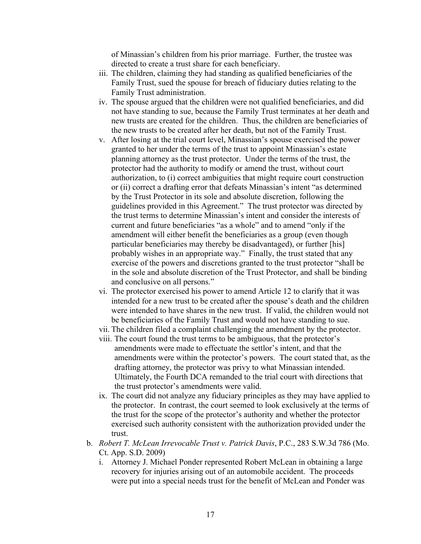of Minassian's children from his prior marriage. Further, the trustee was directed to create a trust share for each beneficiary.

- iii. The children, claiming they had standing as qualified beneficiaries of the Family Trust, sued the spouse for breach of fiduciary duties relating to the Family Trust administration.
- iv. The spouse argued that the children were not qualified beneficiaries, and did not have standing to sue, because the Family Trust terminates at her death and new trusts are created for the children. Thus, the children are beneficiaries of the new trusts to be created after her death, but not of the Family Trust.
- v. After losing at the trial court level, Minassian's spouse exercised the power granted to her under the terms of the trust to appoint Minassian's estate planning attorney as the trust protector. Under the terms of the trust, the protector had the authority to modify or amend the trust, without court authorization, to (i) correct ambiguities that might require court construction or (ii) correct a drafting error that defeats Minassian's intent "as determined by the Trust Protector in its sole and absolute discretion, following the guidelines provided in this Agreement." The trust protector was directed by the trust terms to determine Minassian's intent and consider the interests of current and future beneficiaries "as a whole" and to amend "only if the amendment will either benefit the beneficiaries as a group (even though particular beneficiaries may thereby be disadvantaged), or further [his] probably wishes in an appropriate way." Finally, the trust stated that any exercise of the powers and discretions granted to the trust protector "shall be in the sole and absolute discretion of the Trust Protector, and shall be binding and conclusive on all persons."
- vi. The protector exercised his power to amend Article 12 to clarify that it was intended for a new trust to be created after the spouse's death and the children were intended to have shares in the new trust. If valid, the children would not be beneficiaries of the Family Trust and would not have standing to sue.
- vii. The children filed a complaint challenging the amendment by the protector.
- viii. The court found the trust terms to be ambiguous, that the protector's amendments were made to effectuate the settlor's intent, and that the amendments were within the protector's powers. The court stated that, as the drafting attorney, the protector was privy to what Minassian intended. Ultimately, the Fourth DCA remanded to the trial court with directions that the trust protector's amendments were valid.
- ix. The court did not analyze any fiduciary principles as they may have applied to the protector. In contrast, the court seemed to look exclusively at the terms of the trust for the scope of the protector's authority and whether the protector exercised such authority consistent with the authorization provided under the trust.
- b. *Robert T. McLean Irrevocable Trust v. Patrick Davis*, P.C., 283 S.W.3d 786 (Mo. Ct. App. S.D. 2009)
	- i. Attorney J. Michael Ponder represented Robert McLean in obtaining a large recovery for injuries arising out of an automobile accident. The proceeds were put into a special needs trust for the benefit of McLean and Ponder was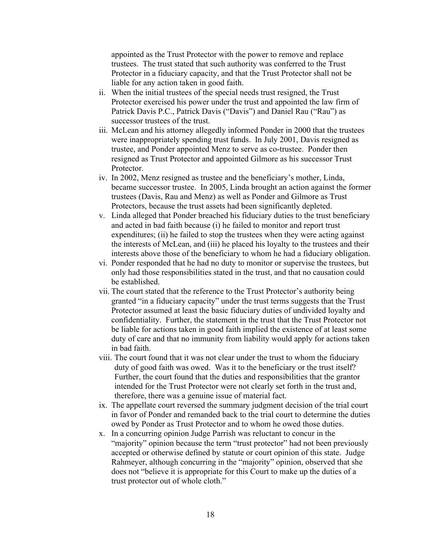appointed as the Trust Protector with the power to remove and replace trustees. The trust stated that such authority was conferred to the Trust Protector in a fiduciary capacity, and that the Trust Protector shall not be liable for any action taken in good faith.

- ii. When the initial trustees of the special needs trust resigned, the Trust Protector exercised his power under the trust and appointed the law firm of Patrick Davis P.C., Patrick Davis ("Davis") and Daniel Rau ("Rau") as successor trustees of the trust.
- iii. McLean and his attorney allegedly informed Ponder in 2000 that the trustees were inappropriately spending trust funds. In July 2001, Davis resigned as trustee, and Ponder appointed Menz to serve as co-trustee. Ponder then resigned as Trust Protector and appointed Gilmore as his successor Trust Protector.
- iv. In 2002, Menz resigned as trustee and the beneficiary's mother, Linda, became successor trustee. In 2005, Linda brought an action against the former trustees (Davis, Rau and Menz) as well as Ponder and Gilmore as Trust Protectors, because the trust assets had been significantly depleted.
- v. Linda alleged that Ponder breached his fiduciary duties to the trust beneficiary and acted in bad faith because (i) he failed to monitor and report trust expenditures; (ii) he failed to stop the trustees when they were acting against the interests of McLean, and (iii) he placed his loyalty to the trustees and their interests above those of the beneficiary to whom he had a fiduciary obligation.
- vi. Ponder responded that he had no duty to monitor or supervise the trustees, but only had those responsibilities stated in the trust, and that no causation could be established.
- vii. The court stated that the reference to the Trust Protector's authority being granted "in a fiduciary capacity" under the trust terms suggests that the Trust Protector assumed at least the basic fiduciary duties of undivided loyalty and confidentiality. Further, the statement in the trust that the Trust Protector not be liable for actions taken in good faith implied the existence of at least some duty of care and that no immunity from liability would apply for actions taken in bad faith.
- viii. The court found that it was not clear under the trust to whom the fiduciary duty of good faith was owed. Was it to the beneficiary or the trust itself? Further, the court found that the duties and responsibilities that the grantor intended for the Trust Protector were not clearly set forth in the trust and, therefore, there was a genuine issue of material fact.
- ix. The appellate court reversed the summary judgment decision of the trial court in favor of Ponder and remanded back to the trial court to determine the duties owed by Ponder as Trust Protector and to whom he owed those duties.
- x. In a concurring opinion Judge Parrish was reluctant to concur in the "majority" opinion because the term "trust protector" had not been previously accepted or otherwise defined by statute or court opinion of this state. Judge Rahmeyer, although concurring in the "majority" opinion, observed that she does not "believe it is appropriate for this Court to make up the duties of a trust protector out of whole cloth."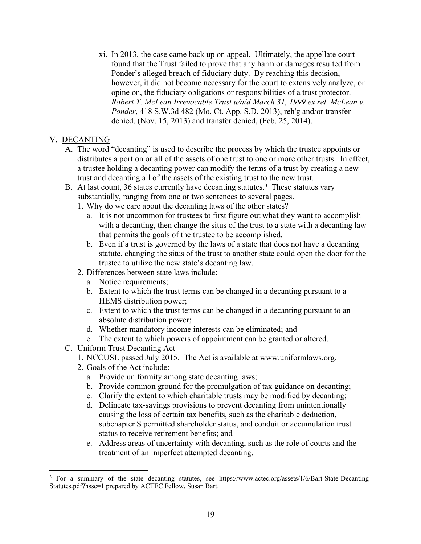xi. In 2013, the case came back up on appeal. Ultimately, the appellate court found that the Trust failed to prove that any harm or damages resulted from Ponder's alleged breach of fiduciary duty. By reaching this decision, however, it did not become necessary for the court to extensively analyze, or opine on, the fiduciary obligations or responsibilities of a trust protector. *Robert T. McLean Irrevocable Trust u/a/d March 31, 1999 ex rel. McLean v. Ponder*, 418 S.W.3d 482 (Mo. Ct. App. S.D. 2013), reh'g and/or transfer denied, (Nov. 15, 2013) and transfer denied, (Feb. 25, 2014).

# V. DECANTING

- A. The word "decanting" is used to describe the process by which the trustee appoints or distributes a portion or all of the assets of one trust to one or more other trusts. In effect, a trustee holding a decanting power can modify the terms of a trust by creating a new trust and decanting all of the assets of the existing trust to the new trust.
- B. At last count, 36 states currently have decanting statutes.<sup>3</sup> These statutes vary substantially, ranging from one or two sentences to several pages.
	- 1. Why do we care about the decanting laws of the other states?
		- a. It is not uncommon for trustees to first figure out what they want to accomplish with a decanting, then change the situs of the trust to a state with a decanting law that permits the goals of the trustee to be accomplished.
		- b. Even if a trust is governed by the laws of a state that does not have a decanting statute, changing the situs of the trust to another state could open the door for the trustee to utilize the new state's decanting law.
	- 2. Differences between state laws include:
		- a. Notice requirements;
		- b. Extent to which the trust terms can be changed in a decanting pursuant to a HEMS distribution power;
		- c. Extent to which the trust terms can be changed in a decanting pursuant to an absolute distribution power;
		- d. Whether mandatory income interests can be eliminated; and
	- e. The extent to which powers of appointment can be granted or altered.
- C. Uniform Trust Decanting Act
	- 1. NCCUSL passed July 2015. The Act is available at www.uniformlaws.org.
	- 2. Goals of the Act include:
		- a. Provide uniformity among state decanting laws;
		- b. Provide common ground for the promulgation of tax guidance on decanting;
		- c. Clarify the extent to which charitable trusts may be modified by decanting;
		- d. Delineate tax-savings provisions to prevent decanting from unintentionally causing the loss of certain tax benefits, such as the charitable deduction, subchapter S permitted shareholder status, and conduit or accumulation trust status to receive retirement benefits; and
		- e. Address areas of uncertainty with decanting, such as the role of courts and the treatment of an imperfect attempted decanting.

<sup>&</sup>lt;sup>3</sup> For a summary of the state decanting statutes, see https://www.actec.org/assets/1/6/Bart-State-Decanting-Statutes.pdf?hssc=1 prepared by ACTEC Fellow, Susan Bart.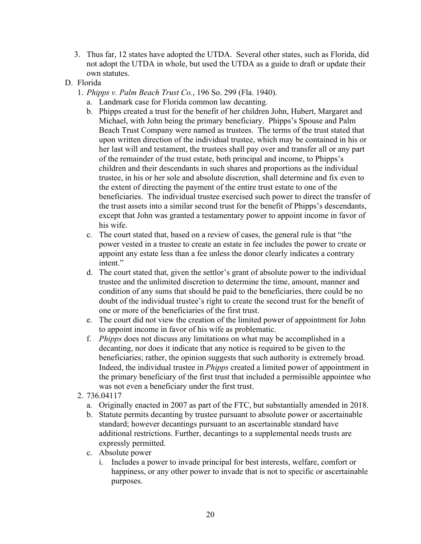- 3. Thus far, 12 states have adopted the UTDA. Several other states, such as Florida, did not adopt the UTDA in whole, but used the UTDA as a guide to draft or update their own statutes.
- D. Florida
	- 1. *Phipps v. Palm Beach Trust Co.*, 196 So. 299 (Fla. 1940).
		- a. Landmark case for Florida common law decanting.
		- b. Phipps created a trust for the benefit of her children John, Hubert, Margaret and Michael, with John being the primary beneficiary. Phipps's Spouse and Palm Beach Trust Company were named as trustees. The terms of the trust stated that upon written direction of the individual trustee, which may be contained in his or her last will and testament, the trustees shall pay over and transfer all or any part of the remainder of the trust estate, both principal and income, to Phipps's children and their descendants in such shares and proportions as the individual trustee, in his or her sole and absolute discretion, shall determine and fix even to the extent of directing the payment of the entire trust estate to one of the beneficiaries. The individual trustee exercised such power to direct the transfer of the trust assets into a similar second trust for the benefit of Phipps's descendants, except that John was granted a testamentary power to appoint income in favor of his wife.
		- c. The court stated that, based on a review of cases, the general rule is that "the power vested in a trustee to create an estate in fee includes the power to create or appoint any estate less than a fee unless the donor clearly indicates a contrary intent."
		- d. The court stated that, given the settlor's grant of absolute power to the individual trustee and the unlimited discretion to determine the time, amount, manner and condition of any sums that should be paid to the beneficiaries, there could be no doubt of the individual trustee's right to create the second trust for the benefit of one or more of the beneficiaries of the first trust.
		- e. The court did not view the creation of the limited power of appointment for John to appoint income in favor of his wife as problematic.
		- f. *Phipps* does not discuss any limitations on what may be accomplished in a decanting, nor does it indicate that any notice is required to be given to the beneficiaries; rather, the opinion suggests that such authority is extremely broad. Indeed, the individual trustee in *Phipps* created a limited power of appointment in the primary beneficiary of the first trust that included a permissible appointee who was not even a beneficiary under the first trust.
	- 2. 736.04117
		- a. Originally enacted in 2007 as part of the FTC, but substantially amended in 2018.
		- b. Statute permits decanting by trustee pursuant to absolute power or ascertainable standard; however decantings pursuant to an ascertainable standard have additional restrictions. Further, decantings to a supplemental needs trusts are expressly permitted.
		- c. Absolute power
			- i. Includes a power to invade principal for best interests, welfare, comfort or happiness, or any other power to invade that is not to specific or ascertainable purposes.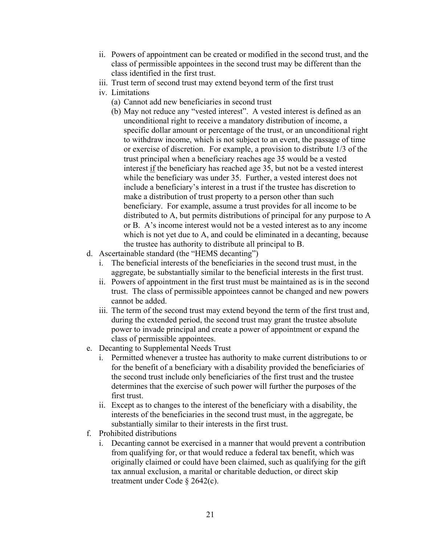- ii. Powers of appointment can be created or modified in the second trust, and the class of permissible appointees in the second trust may be different than the class identified in the first trust.
- iii. Trust term of second trust may extend beyond term of the first trust
- iv. Limitations
	- (a) Cannot add new beneficiaries in second trust
	- (b) May not reduce any "vested interest". A vested interest is defined as an unconditional right to receive a mandatory distribution of income, a specific dollar amount or percentage of the trust, or an unconditional right to withdraw income, which is not subject to an event, the passage of time or exercise of discretion. For example, a provision to distribute 1/3 of the trust principal when a beneficiary reaches age 35 would be a vested interest if the beneficiary has reached age 35, but not be a vested interest while the beneficiary was under 35. Further, a vested interest does not include a beneficiary's interest in a trust if the trustee has discretion to make a distribution of trust property to a person other than such beneficiary. For example, assume a trust provides for all income to be distributed to A, but permits distributions of principal for any purpose to A or B. A's income interest would not be a vested interest as to any income which is not yet due to A, and could be eliminated in a decanting, because the trustee has authority to distribute all principal to B.
- d. Ascertainable standard (the "HEMS decanting")
	- i. The beneficial interests of the beneficiaries in the second trust must, in the aggregate, be substantially similar to the beneficial interests in the first trust.
	- ii. Powers of appointment in the first trust must be maintained as is in the second trust. The class of permissible appointees cannot be changed and new powers cannot be added.
	- iii. The term of the second trust may extend beyond the term of the first trust and, during the extended period, the second trust may grant the trustee absolute power to invade principal and create a power of appointment or expand the class of permissible appointees.
- e. Decanting to Supplemental Needs Trust
	- i. Permitted whenever a trustee has authority to make current distributions to or for the benefit of a beneficiary with a disability provided the beneficiaries of the second trust include only beneficiaries of the first trust and the trustee determines that the exercise of such power will further the purposes of the first trust.
	- ii. Except as to changes to the interest of the beneficiary with a disability, the interests of the beneficiaries in the second trust must, in the aggregate, be substantially similar to their interests in the first trust.
- f. Prohibited distributions
	- i. Decanting cannot be exercised in a manner that would prevent a contribution from qualifying for, or that would reduce a federal tax benefit, which was originally claimed or could have been claimed, such as qualifying for the gift tax annual exclusion, a marital or charitable deduction, or direct skip treatment under Code § 2642(c).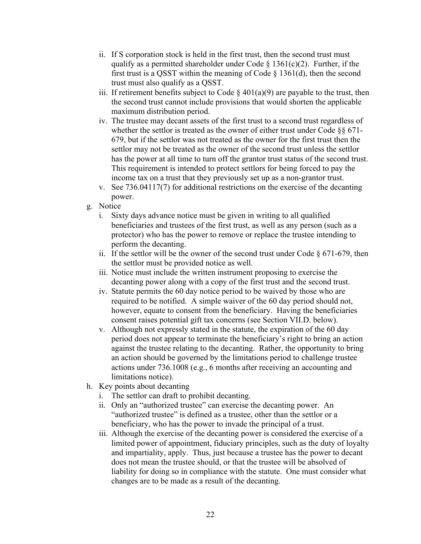- ii. If S corporation stock is held in the first trust, then the second trust must qualify as a permitted shareholder under Code  $\S$  1361(c)(2). Further, if the first trust is a QSST within the meaning of Code § 1361(d), then the second trust must also qualify as a QSST.
- iii. If retirement benefits subject to Code  $\S 401(a)(9)$  are payable to the trust, then the second trust cannot include provisions that would shorten the applicable maximum distribution period.
- iv. The trustee may decant assets of the first trust to a second trust regardless of whether the settlor is treated as the owner of either trust under Code §§ 671- 679, but if the settlor was not treated as the owner for the first trust then the settlor may not be treated as the owner of the second trust unless the settlor has the power at all time to turn off the grantor trust status of the second trust. This requirement is intended to protect settlors for being forced to pay the income tax on a trust that they previously set up as a non-grantor trust.
- v. See 736.04117(7) for additional restrictions on the exercise of the decanting power.
- g. Notice
	- i. Sixty days advance notice must be given in writing to all qualified beneficiaries and trustees of the first trust, as well as any person (such as a protector) who has the power to remove or replace the trustee intending to perform the decanting.
	- ii. If the settlor will be the owner of the second trust under Code  $\S 671-679$ , then the settlor must be provided notice as well.
	- iii. Notice must include the written instrument proposing to exercise the decanting power along with a copy of the first trust and the second trust.
	- iv. Statute permits the 60 day notice period to be waived by those who are required to be notified. A simple waiver of the 60 day period should not, however, equate to consent from the beneficiary. Having the beneficiaries consent raises potential gift tax concerns (see Section VII.D. below).
	- v. Although not expressly stated in the statute, the expiration of the 60 day period does not appear to terminate the beneficiary's right to bring an action against the trustee relating to the decanting. Rather, the opportunity to bring an action should be governed by the limitations period to challenge trustee actions under 736.1008 (e.g., 6 months after receiving an accounting and limitations notice).
- h. Key points about decanting
	- i. The settlor can draft to prohibit decanting.
	- ii. Only an "authorized trustee" can exercise the decanting power. An "authorized trustee" is defined as a trustee, other than the settlor or a beneficiary, who has the power to invade the principal of a trust.
	- iii. Although the exercise of the decanting power is considered the exercise of a limited power of appointment, fiduciary principles, such as the duty of loyalty and impartiality, apply. Thus, just because a trustee has the power to decant does not mean the trustee should, or that the trustee will be absolved of liability for doing so in compliance with the statute. One must consider what changes are to be made as a result of the decanting.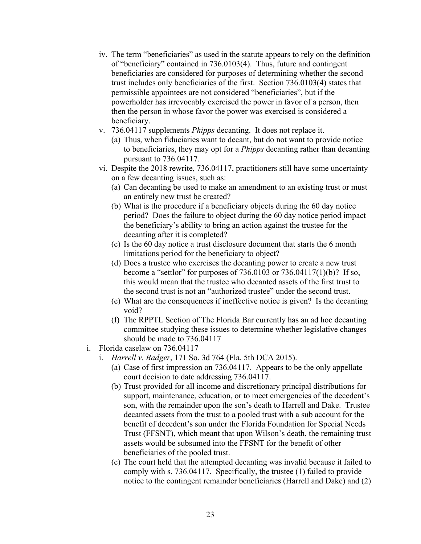- iv. The term "beneficiaries" as used in the statute appears to rely on the definition of "beneficiary" contained in 736.0103(4). Thus, future and contingent beneficiaries are considered for purposes of determining whether the second trust includes only beneficiaries of the first. Section 736.0103(4) states that permissible appointees are not considered "beneficiaries", but if the powerholder has irrevocably exercised the power in favor of a person, then then the person in whose favor the power was exercised is considered a beneficiary.
- v. 736.04117 supplements *Phipps* decanting. It does not replace it.
	- (a) Thus, when fiduciaries want to decant, but do not want to provide notice to beneficiaries, they may opt for a *Phipps* decanting rather than decanting pursuant to 736.04117.
- vi. Despite the 2018 rewrite, 736.04117, practitioners still have some uncertainty on a few decanting issues, such as:
	- (a) Can decanting be used to make an amendment to an existing trust or must an entirely new trust be created?
	- (b) What is the procedure if a beneficiary objects during the 60 day notice period? Does the failure to object during the 60 day notice period impact the beneficiary's ability to bring an action against the trustee for the decanting after it is completed?
	- (c) Is the 60 day notice a trust disclosure document that starts the 6 month limitations period for the beneficiary to object?
	- (d) Does a trustee who exercises the decanting power to create a new trust become a "settlor" for purposes of  $736.0103$  or  $736.04117(1)(b)$ ? If so, this would mean that the trustee who decanted assets of the first trust to the second trust is not an "authorized trustee" under the second trust.
	- (e) What are the consequences if ineffective notice is given? Is the decanting void?
	- (f) The RPPTL Section of The Florida Bar currently has an ad hoc decanting committee studying these issues to determine whether legislative changes should be made to 736.04117
- i. Florida caselaw on 736.04117
	- i. *Harrell v. Badger*, 171 So. 3d 764 (Fla. 5th DCA 2015).
		- (a) Case of first impression on 736.04117. Appears to be the only appellate court decision to date addressing 736.04117.
		- (b) Trust provided for all income and discretionary principal distributions for support, maintenance, education, or to meet emergencies of the decedent's son, with the remainder upon the son's death to Harrell and Dake. Trustee decanted assets from the trust to a pooled trust with a sub account for the benefit of decedent's son under the Florida Foundation for Special Needs Trust (FFSNT), which meant that upon Wilson's death, the remaining trust assets would be subsumed into the FFSNT for the benefit of other beneficiaries of the pooled trust.
		- (c) The court held that the attempted decanting was invalid because it failed to comply with s. 736.04117. Specifically, the trustee (1) failed to provide notice to the contingent remainder beneficiaries (Harrell and Dake) and (2)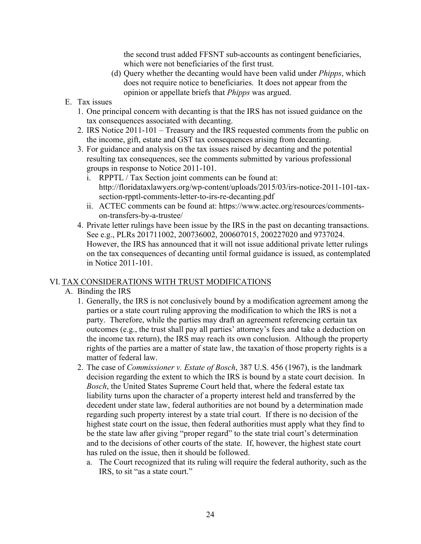the second trust added FFSNT sub-accounts as contingent beneficiaries, which were not beneficiaries of the first trust.

- (d) Query whether the decanting would have been valid under *Phipps*, which does not require notice to beneficiaries. It does not appear from the opinion or appellate briefs that *Phipps* was argued.
- E. Tax issues
	- 1. One principal concern with decanting is that the IRS has not issued guidance on the tax consequences associated with decanting.
	- 2. IRS Notice 2011-101 Treasury and the IRS requested comments from the public on the income, gift, estate and GST tax consequences arising from decanting.
	- 3. For guidance and analysis on the tax issues raised by decanting and the potential resulting tax consequences, see the comments submitted by various professional groups in response to Notice 2011-101.
		- i. RPPTL / Tax Section joint comments can be found at: http://floridataxlawyers.org/wp-content/uploads/2015/03/irs-notice-2011-101-taxsection-rpptl-comments-letter-to-irs-re-decanting.pdf
		- ii. ACTEC comments can be found at: https://www.actec.org/resources/commentson-transfers-by-a-trustee/
	- 4. Private letter rulings have been issue by the IRS in the past on decanting transactions. See e.g., PLRs 201711002, 200736002, 200607015, 200227020 and 9737024. However, the IRS has announced that it will not issue additional private letter rulings on the tax consequences of decanting until formal guidance is issued, as contemplated in Notice 2011-101.

# VI. TAX CONSIDERATIONS WITH TRUST MODIFICATIONS

- A. Binding the IRS
	- 1. Generally, the IRS is not conclusively bound by a modification agreement among the parties or a state court ruling approving the modification to which the IRS is not a party. Therefore, while the parties may draft an agreement referencing certain tax outcomes (e.g., the trust shall pay all parties' attorney's fees and take a deduction on the income tax return), the IRS may reach its own conclusion. Although the property rights of the parties are a matter of state law, the taxation of those property rights is a matter of federal law.
	- 2. The case of *Commissioner v. Estate of Bosch*, 387 U.S. 456 (1967), is the landmark decision regarding the extent to which the IRS is bound by a state court decision. In *Bosch*, the United States Supreme Court held that, where the federal estate tax liability turns upon the character of a property interest held and transferred by the decedent under state law, federal authorities are not bound by a determination made regarding such property interest by a state trial court. If there is no decision of the highest state court on the issue, then federal authorities must apply what they find to be the state law after giving "proper regard" to the state trial court's determination and to the decisions of other courts of the state. If, however, the highest state court has ruled on the issue, then it should be followed.
		- a. The Court recognized that its ruling will require the federal authority, such as the IRS, to sit "as a state court."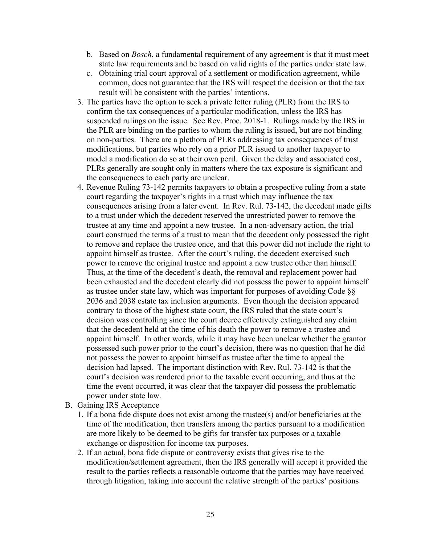- b. Based on *Bosch*, a fundamental requirement of any agreement is that it must meet state law requirements and be based on valid rights of the parties under state law.
- c. Obtaining trial court approval of a settlement or modification agreement, while common, does not guarantee that the IRS will respect the decision or that the tax result will be consistent with the parties' intentions.
- 3. The parties have the option to seek a private letter ruling (PLR) from the IRS to confirm the tax consequences of a particular modification, unless the IRS has suspended rulings on the issue. See Rev. Proc. 2018-1. Rulings made by the IRS in the PLR are binding on the parties to whom the ruling is issued, but are not binding on non-parties. There are a plethora of PLRs addressing tax consequences of trust modifications, but parties who rely on a prior PLR issued to another taxpayer to model a modification do so at their own peril. Given the delay and associated cost, PLRs generally are sought only in matters where the tax exposure is significant and the consequences to each party are unclear.
- 4. Revenue Ruling 73-142 permits taxpayers to obtain a prospective ruling from a state court regarding the taxpayer's rights in a trust which may influence the tax consequences arising from a later event. In Rev. Rul. 73-142, the decedent made gifts to a trust under which the decedent reserved the unrestricted power to remove the trustee at any time and appoint a new trustee. In a non-adversary action, the trial court construed the terms of a trust to mean that the decedent only possessed the right to remove and replace the trustee once, and that this power did not include the right to appoint himself as trustee. After the court's ruling, the decedent exercised such power to remove the original trustee and appoint a new trustee other than himself. Thus, at the time of the decedent's death, the removal and replacement power had been exhausted and the decedent clearly did not possess the power to appoint himself as trustee under state law, which was important for purposes of avoiding Code §§ 2036 and 2038 estate tax inclusion arguments. Even though the decision appeared contrary to those of the highest state court, the IRS ruled that the state court's decision was controlling since the court decree effectively extinguished any claim that the decedent held at the time of his death the power to remove a trustee and appoint himself. In other words, while it may have been unclear whether the grantor possessed such power prior to the court's decision, there was no question that he did not possess the power to appoint himself as trustee after the time to appeal the decision had lapsed. The important distinction with Rev. Rul. 73-142 is that the court's decision was rendered prior to the taxable event occurring, and thus at the time the event occurred, it was clear that the taxpayer did possess the problematic power under state law.
- B. Gaining IRS Acceptance
	- 1. If a bona fide dispute does not exist among the trustee(s) and/or beneficiaries at the time of the modification, then transfers among the parties pursuant to a modification are more likely to be deemed to be gifts for transfer tax purposes or a taxable exchange or disposition for income tax purposes.
	- 2. If an actual, bona fide dispute or controversy exists that gives rise to the modification/settlement agreement, then the IRS generally will accept it provided the result to the parties reflects a reasonable outcome that the parties may have received through litigation, taking into account the relative strength of the parties' positions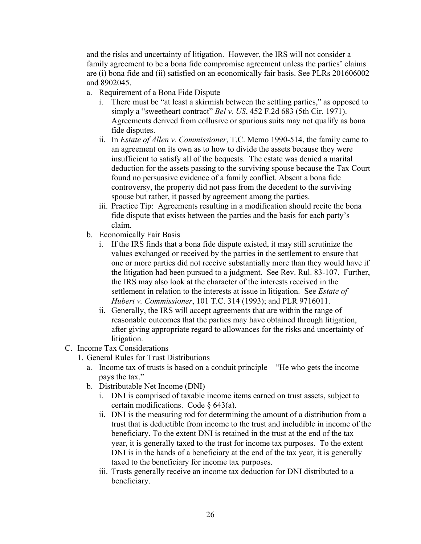and the risks and uncertainty of litigation. However, the IRS will not consider a family agreement to be a bona fide compromise agreement unless the parties' claims are (i) bona fide and (ii) satisfied on an economically fair basis. See PLRs 201606002 and 8902045.

- a. Requirement of a Bona Fide Dispute
	- i. There must be "at least a skirmish between the settling parties," as opposed to simply a "sweetheart contract" *Bel v. US*, 452 F.2d 683 (5th Cir. 1971). Agreements derived from collusive or spurious suits may not qualify as bona fide disputes.
	- ii. In *Estate of Allen v. Commissioner*, T.C. Memo 1990-514, the family came to an agreement on its own as to how to divide the assets because they were insufficient to satisfy all of the bequests. The estate was denied a marital deduction for the assets passing to the surviving spouse because the Tax Court found no persuasive evidence of a family conflict. Absent a bona fide controversy, the property did not pass from the decedent to the surviving spouse but rather, it passed by agreement among the parties.
	- iii. Practice Tip: Agreements resulting in a modification should recite the bona fide dispute that exists between the parties and the basis for each party's claim.
- b. Economically Fair Basis
	- i. If the IRS finds that a bona fide dispute existed, it may still scrutinize the values exchanged or received by the parties in the settlement to ensure that one or more parties did not receive substantially more than they would have if the litigation had been pursued to a judgment. See Rev. Rul. 83-107. Further, the IRS may also look at the character of the interests received in the settlement in relation to the interests at issue in litigation. See *Estate of Hubert v. Commissioner*, 101 T.C. 314 (1993); and PLR 9716011.
	- ii. Generally, the IRS will accept agreements that are within the range of reasonable outcomes that the parties may have obtained through litigation, after giving appropriate regard to allowances for the risks and uncertainty of litigation.
- C. Income Tax Considerations
	- 1. General Rules for Trust Distributions
		- a. Income tax of trusts is based on a conduit principle "He who gets the income pays the tax."
		- b. Distributable Net Income (DNI)
			- i. DNI is comprised of taxable income items earned on trust assets, subject to certain modifications. Code § 643(a).
			- ii. DNI is the measuring rod for determining the amount of a distribution from a trust that is deductible from income to the trust and includible in income of the beneficiary. To the extent DNI is retained in the trust at the end of the tax year, it is generally taxed to the trust for income tax purposes. To the extent DNI is in the hands of a beneficiary at the end of the tax year, it is generally taxed to the beneficiary for income tax purposes.
			- iii. Trusts generally receive an income tax deduction for DNI distributed to a beneficiary.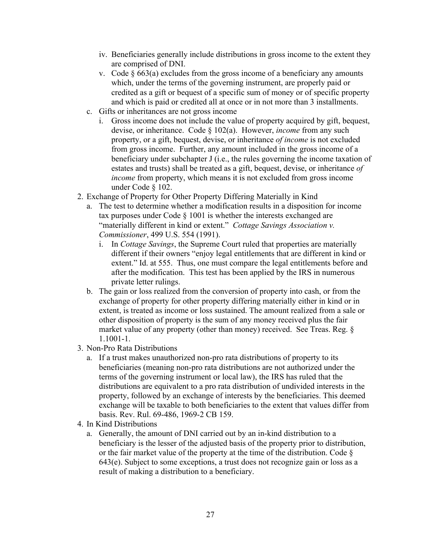- iv. Beneficiaries generally include distributions in gross income to the extent they are comprised of DNI.
- v. Code  $\S 663(a)$  excludes from the gross income of a beneficiary any amounts which, under the terms of the governing instrument, are properly paid or credited as a gift or bequest of a specific sum of money or of specific property and which is paid or credited all at once or in not more than 3 installments.
- c. Gifts or inheritances are not gross income
	- i. Gross income does not include the value of property acquired by gift, bequest, devise, or inheritance. Code § 102(a). However, *income* from any such property, or a gift, bequest, devise, or inheritance *of income* is not excluded from gross income. Further, any amount included in the gross income of a beneficiary under subchapter J (i.e., the rules governing the income taxation of estates and trusts) shall be treated as a gift, bequest, devise, or inheritance *of income* from property, which means it is not excluded from gross income under Code § 102.
- 2. Exchange of Property for Other Property Differing Materially in Kind
	- a. The test to determine whether a modification results in a disposition for income tax purposes under Code § 1001 is whether the interests exchanged are "materially different in kind or extent." *Cottage Savings Association v. Commissioner*, 499 U.S. 554 (1991).
		- i. In *Cottage Savings*, the Supreme Court ruled that properties are materially different if their owners "enjoy legal entitlements that are different in kind or extent." Id. at 555. Thus, one must compare the legal entitlements before and after the modification. This test has been applied by the IRS in numerous private letter rulings.
	- b. The gain or loss realized from the conversion of property into cash, or from the exchange of property for other property differing materially either in kind or in extent, is treated as income or loss sustained. The amount realized from a sale or other disposition of property is the sum of any money received plus the fair market value of any property (other than money) received. See Treas. Reg. § 1.1001-1.
- 3. Non-Pro Rata Distributions
	- a. If a trust makes unauthorized non-pro rata distributions of property to its beneficiaries (meaning non-pro rata distributions are not authorized under the terms of the governing instrument or local law), the IRS has ruled that the distributions are equivalent to a pro rata distribution of undivided interests in the property, followed by an exchange of interests by the beneficiaries. This deemed exchange will be taxable to both beneficiaries to the extent that values differ from basis. Rev. Rul. 69-486, 1969-2 CB 159.
- 4. In Kind Distributions
	- a. Generally, the amount of DNI carried out by an in-kind distribution to a beneficiary is the lesser of the adjusted basis of the property prior to distribution, or the fair market value of the property at the time of the distribution. Code  $\S$ 643(e). Subject to some exceptions, a trust does not recognize gain or loss as a result of making a distribution to a beneficiary.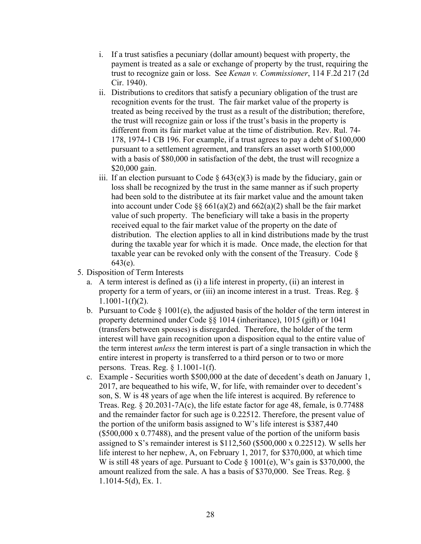- i. If a trust satisfies a pecuniary (dollar amount) bequest with property, the payment is treated as a sale or exchange of property by the trust, requiring the trust to recognize gain or loss. See *Kenan v. Commissioner*, 114 F.2d 217 (2d Cir. 1940).
- ii. Distributions to creditors that satisfy a pecuniary obligation of the trust are recognition events for the trust. The fair market value of the property is treated as being received by the trust as a result of the distribution; therefore, the trust will recognize gain or loss if the trust's basis in the property is different from its fair market value at the time of distribution. Rev. Rul. 74- 178, 1974-1 CB 196. For example, if a trust agrees to pay a debt of \$100,000 pursuant to a settlement agreement, and transfers an asset worth \$100,000 with a basis of \$80,000 in satisfaction of the debt, the trust will recognize a \$20,000 gain.
- iii. If an election pursuant to Code  $\S$  643(e)(3) is made by the fiduciary, gain or loss shall be recognized by the trust in the same manner as if such property had been sold to the distributee at its fair market value and the amount taken into account under Code §§  $661(a)(2)$  and  $662(a)(2)$  shall be the fair market value of such property. The beneficiary will take a basis in the property received equal to the fair market value of the property on the date of distribution. The election applies to all in kind distributions made by the trust during the taxable year for which it is made. Once made, the election for that taxable year can be revoked only with the consent of the Treasury. Code § 643(e).
- 5. Disposition of Term Interests
	- a. A term interest is defined as (i) a life interest in property, (ii) an interest in property for a term of years, or (iii) an income interest in a trust. Treas. Reg. §  $1.1001 - 1(f)(2)$ .
	- b. Pursuant to Code  $\S$  1001(e), the adjusted basis of the holder of the term interest in property determined under Code §§ 1014 (inheritance), 1015 (gift) or 1041 (transfers between spouses) is disregarded. Therefore, the holder of the term interest will have gain recognition upon a disposition equal to the entire value of the term interest *unless* the term interest is part of a single transaction in which the entire interest in property is transferred to a third person or to two or more persons. Treas. Reg. § 1.1001-1(f).
	- c. Example Securities worth \$500,000 at the date of decedent's death on January 1, 2017, are bequeathed to his wife, W, for life, with remainder over to decedent's son, S. W is 48 years of age when the life interest is acquired. By reference to Treas. Reg. § 20.2031-7A(c), the life estate factor for age 48, female, is 0.77488 and the remainder factor for such age is 0.22512. Therefore, the present value of the portion of the uniform basis assigned to W's life interest is \$387,440  $($500,000 \times 0.77488)$ , and the present value of the portion of the uniform basis assigned to S's remainder interest is \$112,560 (\$500,000 x 0.22512). W sells her life interest to her nephew, A, on February 1, 2017, for \$370,000, at which time W is still 48 years of age. Pursuant to Code  $\S$  1001(e), W's gain is \$370,000, the amount realized from the sale. A has a basis of \$370,000. See Treas. Reg. § 1.1014-5(d), Ex. 1.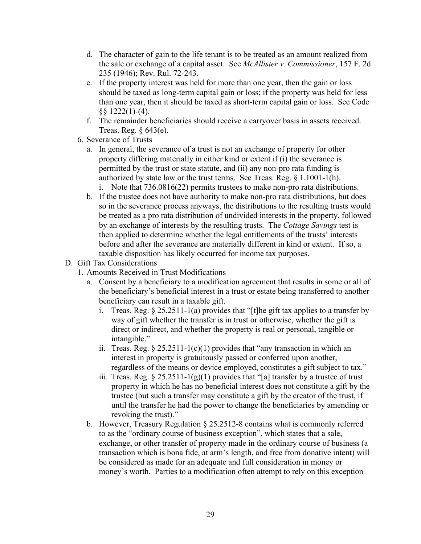- d. The character of gain to the life tenant is to be treated as an amount realized from the sale or exchange of a capital asset. See *McAllister v. Commissioner*, 157 F. 2d 235 (1946); Rev. Rul. 72-243.
- e. If the property interest was held for more than one year, then the gain or loss should be taxed as long-term capital gain or loss; if the property was held for less than one year, then it should be taxed as short-term capital gain or loss. See Code §§ 1222(1)-(4).
- f. The remainder beneficiaries should receive a carryover basis in assets received. Treas. Reg. § 643(e).
- 6. Severance of Trusts
	- a. In general, the severance of a trust is not an exchange of property for other property differing materially in either kind or extent if (i) the severance is permitted by the trust or state statute, and (ii) any non-pro rata funding is authorized by state law or the trust terms. See Treas. Reg. § 1.1001-1(h).
		- i. Note that 736.0816(22) permits trustees to make non-pro rata distributions.
	- b. If the trustee does not have authority to make non-pro rata distributions, but does so in the severance process anyways, the distributions to the resulting trusts would be treated as a pro rata distribution of undivided interests in the property, followed by an exchange of interests by the resulting trusts. The *Cottage Savings* test is then applied to determine whether the legal entitlements of the trusts' interests before and after the severance are materially different in kind or extent. If so, a taxable disposition has likely occurred for income tax purposes.
- D. Gift Tax Considerations
	- 1. Amounts Received in Trust Modifications
		- a. Consent by a beneficiary to a modification agreement that results in some or all of the beneficiary's beneficial interest in a trust or estate being transferred to another beneficiary can result in a taxable gift.
			- i. Treas. Reg.  $\S 25.2511 1$ (a) provides that "[t]he gift tax applies to a transfer by way of gift whether the transfer is in trust or otherwise, whether the gift is direct or indirect, and whether the property is real or personal, tangible or intangible."
			- ii. Treas. Reg.  $\S 25.2511-1(c)(1)$  provides that "any transaction in which an interest in property is gratuitously passed or conferred upon another, regardless of the means or device employed, constitutes a gift subject to tax."
			- iii. Treas. Reg. § 25.2511-1(g)(1) provides that "[a] transfer by a trustee of trust property in which he has no beneficial interest does not constitute a gift by the trustee (but such a transfer may constitute a gift by the creator of the trust, if until the transfer he had the power to change the beneficiaries by amending or revoking the trust)."
		- b. However, Treasury Regulation § 25.2512-8 contains what is commonly referred to as the "ordinary course of business exception", which states that a sale, exchange, or other transfer of property made in the ordinary course of business (a transaction which is bona fide, at arm's length, and free from donative intent) will be considered as made for an adequate and full consideration in money or money's worth. Parties to a modification often attempt to rely on this exception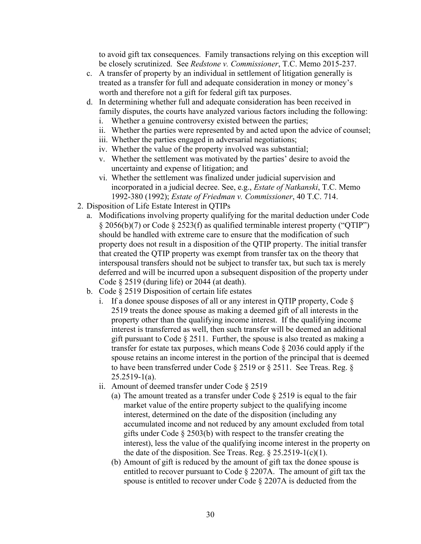to avoid gift tax consequences. Family transactions relying on this exception will be closely scrutinized. See *Redstone v. Commissioner*, T.C. Memo 2015-237.

- c. A transfer of property by an individual in settlement of litigation generally is treated as a transfer for full and adequate consideration in money or money's worth and therefore not a gift for federal gift tax purposes.
- d. In determining whether full and adequate consideration has been received in family disputes, the courts have analyzed various factors including the following:
	- i. Whether a genuine controversy existed between the parties;
	- ii. Whether the parties were represented by and acted upon the advice of counsel;
	- iii. Whether the parties engaged in adversarial negotiations;
	- iv. Whether the value of the property involved was substantial;
	- v. Whether the settlement was motivated by the parties' desire to avoid the uncertainty and expense of litigation; and
	- vi. Whether the settlement was finalized under judicial supervision and incorporated in a judicial decree. See, e.g., *Estate of Natkanski*, T.C. Memo 1992-380 (1992); *Estate of Friedman v. Commissioner*, 40 T.C. 714.
- 2. Disposition of Life Estate Interest in QTIPs
	- a. Modifications involving property qualifying for the marital deduction under Code § 2056(b)(7) or Code § 2523(f) as qualified terminable interest property ("QTIP") should be handled with extreme care to ensure that the modification of such property does not result in a disposition of the QTIP property. The initial transfer that created the QTIP property was exempt from transfer tax on the theory that interspousal transfers should not be subject to transfer tax, but such tax is merely deferred and will be incurred upon a subsequent disposition of the property under Code  $\S 2519$  (during life) or 2044 (at death).
	- b. Code § 2519 Disposition of certain life estates
		- i. If a donee spouse disposes of all or any interest in QTIP property, Code  $\S$ 2519 treats the donee spouse as making a deemed gift of all interests in the property other than the qualifying income interest. If the qualifying income interest is transferred as well, then such transfer will be deemed an additional gift pursuant to Code § 2511. Further, the spouse is also treated as making a transfer for estate tax purposes, which means Code § 2036 could apply if the spouse retains an income interest in the portion of the principal that is deemed to have been transferred under Code § 2519 or § 2511. See Treas. Reg. §  $25.2519 - 1(a)$ .
		- ii. Amount of deemed transfer under Code § 2519
			- (a) The amount treated as a transfer under Code  $\S$  2519 is equal to the fair market value of the entire property subject to the qualifying income interest, determined on the date of the disposition (including any accumulated income and not reduced by any amount excluded from total gifts under Code § 2503(b) with respect to the transfer creating the interest), less the value of the qualifying income interest in the property on the date of the disposition. See Treas. Reg.  $\S 25.2519-1(c)(1)$ .
			- (b) Amount of gift is reduced by the amount of gift tax the donee spouse is entitled to recover pursuant to Code § 2207A. The amount of gift tax the spouse is entitled to recover under Code § 2207A is deducted from the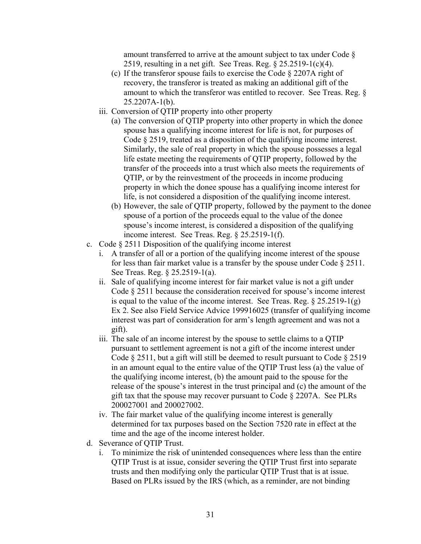amount transferred to arrive at the amount subject to tax under Code § 2519, resulting in a net gift. See Treas. Reg. § 25.2519-1(c)(4).

- (c) If the transferor spouse fails to exercise the Code § 2207A right of recovery, the transferor is treated as making an additional gift of the amount to which the transferor was entitled to recover. See Treas. Reg. § 25.2207A-1(b).
- iii. Conversion of QTIP property into other property
	- (a) The conversion of QTIP property into other property in which the donee spouse has a qualifying income interest for life is not, for purposes of Code § 2519, treated as a disposition of the qualifying income interest. Similarly, the sale of real property in which the spouse possesses a legal life estate meeting the requirements of QTIP property, followed by the transfer of the proceeds into a trust which also meets the requirements of QTIP, or by the reinvestment of the proceeds in income producing property in which the donee spouse has a qualifying income interest for life, is not considered a disposition of the qualifying income interest.
	- (b) However, the sale of QTIP property, followed by the payment to the donee spouse of a portion of the proceeds equal to the value of the donee spouse's income interest, is considered a disposition of the qualifying income interest. See Treas. Reg. § 25.2519-1(f).
- c. Code § 2511 Disposition of the qualifying income interest
	- i. A transfer of all or a portion of the qualifying income interest of the spouse for less than fair market value is a transfer by the spouse under Code § 2511. See Treas. Reg. § 25.2519-1(a).
	- ii. Sale of qualifying income interest for fair market value is not a gift under Code § 2511 because the consideration received for spouse's income interest is equal to the value of the income interest. See Treas. Reg.  $\S 25.2519-1(g)$ Ex 2. See also Field Service Advice 199916025 (transfer of qualifying income interest was part of consideration for arm's length agreement and was not a gift).
	- iii. The sale of an income interest by the spouse to settle claims to a QTIP pursuant to settlement agreement is not a gift of the income interest under Code § 2511, but a gift will still be deemed to result pursuant to Code § 2519 in an amount equal to the entire value of the QTIP Trust less (a) the value of the qualifying income interest, (b) the amount paid to the spouse for the release of the spouse's interest in the trust principal and (c) the amount of the gift tax that the spouse may recover pursuant to Code § 2207A. See PLRs 200027001 and 200027002.
	- iv. The fair market value of the qualifying income interest is generally determined for tax purposes based on the Section 7520 rate in effect at the time and the age of the income interest holder.
- d. Severance of QTIP Trust.
	- i. To minimize the risk of unintended consequences where less than the entire QTIP Trust is at issue, consider severing the QTIP Trust first into separate trusts and then modifying only the particular QTIP Trust that is at issue. Based on PLRs issued by the IRS (which, as a reminder, are not binding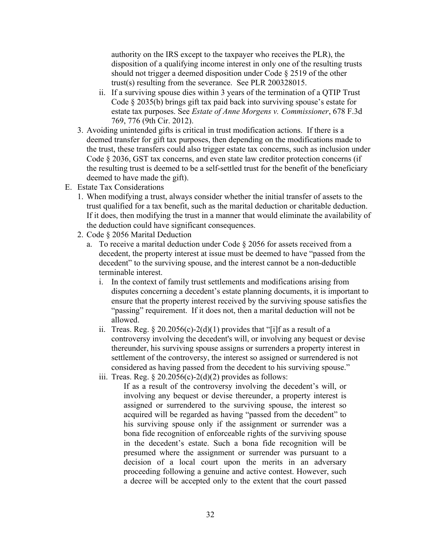authority on the IRS except to the taxpayer who receives the PLR), the disposition of a qualifying income interest in only one of the resulting trusts should not trigger a deemed disposition under Code § 2519 of the other trust(s) resulting from the severance. See PLR 200328015.

- ii. If a surviving spouse dies within 3 years of the termination of a QTIP Trust Code § 2035(b) brings gift tax paid back into surviving spouse's estate for estate tax purposes. See *Estate of Anne Morgens v. Commissioner*, 678 F.3d 769, 776 (9th Cir. 2012).
- 3. Avoiding unintended gifts is critical in trust modification actions. If there is a deemed transfer for gift tax purposes, then depending on the modifications made to the trust, these transfers could also trigger estate tax concerns, such as inclusion under Code § 2036, GST tax concerns, and even state law creditor protection concerns (if the resulting trust is deemed to be a self-settled trust for the benefit of the beneficiary deemed to have made the gift).
- E. Estate Tax Considerations
	- 1. When modifying a trust, always consider whether the initial transfer of assets to the trust qualified for a tax benefit, such as the marital deduction or charitable deduction. If it does, then modifying the trust in a manner that would eliminate the availability of the deduction could have significant consequences.
	- 2. Code § 2056 Marital Deduction
		- a. To receive a marital deduction under Code § 2056 for assets received from a decedent, the property interest at issue must be deemed to have "passed from the decedent" to the surviving spouse, and the interest cannot be a non-deductible terminable interest.
			- i. In the context of family trust settlements and modifications arising from disputes concerning a decedent's estate planning documents, it is important to ensure that the property interest received by the surviving spouse satisfies the "passing" requirement. If it does not, then a marital deduction will not be allowed.
			- ii. Treas. Reg.  $\S 20.2056(c) 2(d)(1)$  provides that "[i]f as a result of a controversy involving the decedent's will, or involving any bequest or devise thereunder, his surviving spouse assigns or surrenders a property interest in settlement of the controversy, the interest so assigned or surrendered is not considered as having passed from the decedent to his surviving spouse."
			- iii. Treas. Reg.  $\S 20.2056(c) 2(d)(2)$  provides as follows:
				- If as a result of the controversy involving the decedent's will, or involving any bequest or devise thereunder, a property interest is assigned or surrendered to the surviving spouse, the interest so acquired will be regarded as having "passed from the decedent" to his surviving spouse only if the assignment or surrender was a bona fide recognition of enforceable rights of the surviving spouse in the decedent's estate. Such a bona fide recognition will be presumed where the assignment or surrender was pursuant to a decision of a local court upon the merits in an adversary proceeding following a genuine and active contest. However, such a decree will be accepted only to the extent that the court passed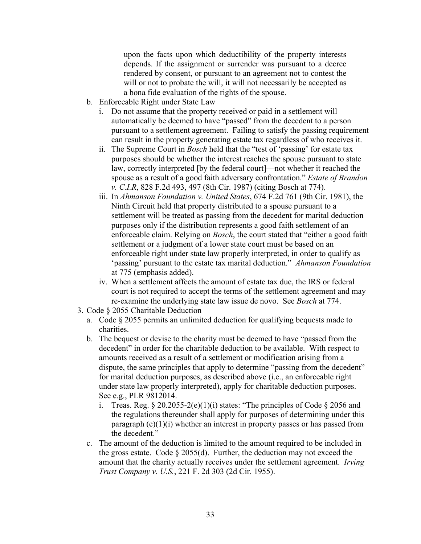upon the facts upon which deductibility of the property interests depends. If the assignment or surrender was pursuant to a decree rendered by consent, or pursuant to an agreement not to contest the will or not to probate the will, it will not necessarily be accepted as a bona fide evaluation of the rights of the spouse.

- b. Enforceable Right under State Law
	- i. Do not assume that the property received or paid in a settlement will automatically be deemed to have "passed" from the decedent to a person pursuant to a settlement agreement. Failing to satisfy the passing requirement can result in the property generating estate tax regardless of who receives it.
	- ii. The Supreme Court in *Bosch* held that the "test of 'passing' for estate tax purposes should be whether the interest reaches the spouse pursuant to state law, correctly interpreted [by the federal court]—not whether it reached the spouse as a result of a good faith adversary confrontation." *Estate of Brandon v. C.I.R*, 828 F.2d 493, 497 (8th Cir. 1987) (citing Bosch at 774).
	- iii. In *Ahmanson Foundation v. United States*, 674 F.2d 761 (9th Cir. 1981), the Ninth Circuit held that property distributed to a spouse pursuant to a settlement will be treated as passing from the decedent for marital deduction purposes only if the distribution represents a good faith settlement of an enforceable claim. Relying on *Bosch*, the court stated that "either a good faith settlement or a judgment of a lower state court must be based on an enforceable right under state law properly interpreted, in order to qualify as 'passing' pursuant to the estate tax marital deduction." *Ahmanson Foundation* at 775 (emphasis added).
	- iv. When a settlement affects the amount of estate tax due, the IRS or federal court is not required to accept the terms of the settlement agreement and may re-examine the underlying state law issue de novo. See *Bosch* at 774.
- 3. Code § 2055 Charitable Deduction
	- a. Code § 2055 permits an unlimited deduction for qualifying bequests made to charities.
	- b. The bequest or devise to the charity must be deemed to have "passed from the decedent" in order for the charitable deduction to be available. With respect to amounts received as a result of a settlement or modification arising from a dispute, the same principles that apply to determine "passing from the decedent" for marital deduction purposes, as described above (i.e., an enforceable right under state law properly interpreted), apply for charitable deduction purposes. See e.g., PLR 9812014.
		- i. Treas. Reg.  $\S 20.2055-2(e)(1)(i)$  states: "The principles of Code  $\S 2056$  and the regulations thereunder shall apply for purposes of determining under this paragraph  $(e)(1)(i)$  whether an interest in property passes or has passed from the decedent."
	- c. The amount of the deduction is limited to the amount required to be included in the gross estate. Code  $\S 2055(d)$ . Further, the deduction may not exceed the amount that the charity actually receives under the settlement agreement. *Irving Trust Company v. U.S.*, 221 F. 2d 303 (2d Cir. 1955).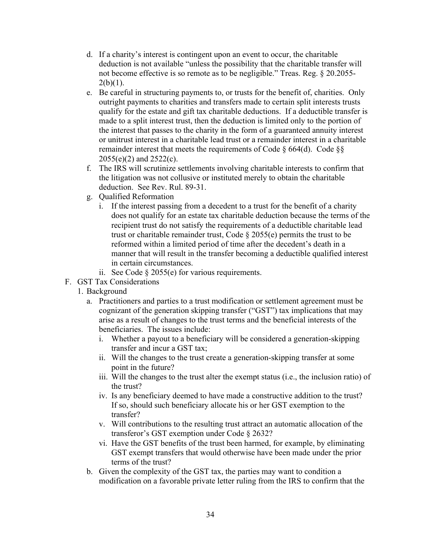- d. If a charity's interest is contingent upon an event to occur, the charitable deduction is not available "unless the possibility that the charitable transfer will not become effective is so remote as to be negligible." Treas. Reg. § 20.2055-  $2(b)(1)$ .
- e. Be careful in structuring payments to, or trusts for the benefit of, charities. Only outright payments to charities and transfers made to certain split interests trusts qualify for the estate and gift tax charitable deductions. If a deductible transfer is made to a split interest trust, then the deduction is limited only to the portion of the interest that passes to the charity in the form of a guaranteed annuity interest or unitrust interest in a charitable lead trust or a remainder interest in a charitable remainder interest that meets the requirements of Code  $\S 664(d)$ . Code  $\S 8$ 2055(e)(2) and 2522(c).
- f. The IRS will scrutinize settlements involving charitable interests to confirm that the litigation was not collusive or instituted merely to obtain the charitable deduction. See Rev. Rul. 89-31.
- g. Qualified Reformation
	- i. If the interest passing from a decedent to a trust for the benefit of a charity does not qualify for an estate tax charitable deduction because the terms of the recipient trust do not satisfy the requirements of a deductible charitable lead trust or charitable remainder trust, Code § 2055(e) permits the trust to be reformed within a limited period of time after the decedent's death in a manner that will result in the transfer becoming a deductible qualified interest in certain circumstances.
	- ii. See Code § 2055(e) for various requirements.
- F. GST Tax Considerations
	- 1. Background
		- a. Practitioners and parties to a trust modification or settlement agreement must be cognizant of the generation skipping transfer ("GST") tax implications that may arise as a result of changes to the trust terms and the beneficial interests of the beneficiaries. The issues include:
			- i. Whether a payout to a beneficiary will be considered a generation-skipping transfer and incur a GST tax;
			- ii. Will the changes to the trust create a generation-skipping transfer at some point in the future?
			- iii. Will the changes to the trust alter the exempt status (i.e., the inclusion ratio) of the trust?
			- iv. Is any beneficiary deemed to have made a constructive addition to the trust? If so, should such beneficiary allocate his or her GST exemption to the transfer?
			- v. Will contributions to the resulting trust attract an automatic allocation of the transferor's GST exemption under Code § 2632?
			- vi. Have the GST benefits of the trust been harmed, for example, by eliminating GST exempt transfers that would otherwise have been made under the prior terms of the trust?
		- b. Given the complexity of the GST tax, the parties may want to condition a modification on a favorable private letter ruling from the IRS to confirm that the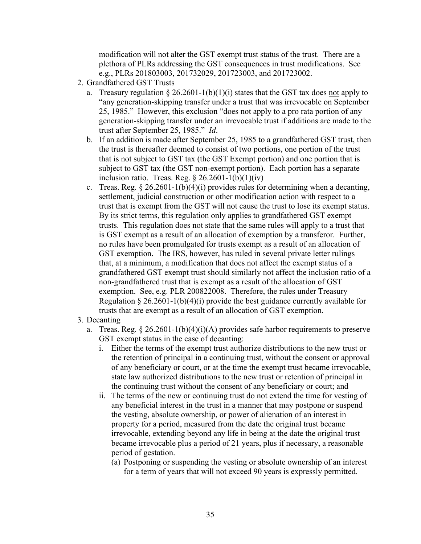modification will not alter the GST exempt trust status of the trust. There are a plethora of PLRs addressing the GST consequences in trust modifications. See e.g., PLRs 201803003, 201732029, 201723003, and 201723002.

- 2. Grandfathered GST Trusts
	- a. Treasury regulation  $\S 26.2601 1(b)(1)(i)$  states that the GST tax does not apply to "any generation-skipping transfer under a trust that was irrevocable on September 25, 1985." However, this exclusion "does not apply to a pro rata portion of any generation-skipping transfer under an irrevocable trust if additions are made to the trust after September 25, 1985." *Id*.
	- b. If an addition is made after September 25, 1985 to a grandfathered GST trust, then the trust is thereafter deemed to consist of two portions, one portion of the trust that is not subject to GST tax (the GST Exempt portion) and one portion that is subject to GST tax (the GST non-exempt portion). Each portion has a separate inclusion ratio. Treas. Reg.  $\S 26.2601 - 1(b)(1)(iv)$
	- c. Treas. Reg.  $\S 26.2601 1(b)(4)(i)$  provides rules for determining when a decanting, settlement, judicial construction or other modification action with respect to a trust that is exempt from the GST will not cause the trust to lose its exempt status. By its strict terms, this regulation only applies to grandfathered GST exempt trusts. This regulation does not state that the same rules will apply to a trust that is GST exempt as a result of an allocation of exemption by a transferor. Further, no rules have been promulgated for trusts exempt as a result of an allocation of GST exemption. The IRS, however, has ruled in several private letter rulings that, at a minimum, a modification that does not affect the exempt status of a grandfathered GST exempt trust should similarly not affect the inclusion ratio of a non-grandfathered trust that is exempt as a result of the allocation of GST exemption. See, e.g. PLR 200822008. Therefore, the rules under Treasury Regulation § 26.2601-1(b)(4)(i) provide the best guidance currently available for trusts that are exempt as a result of an allocation of GST exemption.
- 3. Decanting
	- a. Treas. Reg.  $\&$  26.2601-1(b)(4)(i)(A) provides safe harbor requirements to preserve GST exempt status in the case of decanting:
		- i. Either the terms of the exempt trust authorize distributions to the new trust or the retention of principal in a continuing trust, without the consent or approval of any beneficiary or court, or at the time the exempt trust became irrevocable, state law authorized distributions to the new trust or retention of principal in the continuing trust without the consent of any beneficiary or court; and
		- ii. The terms of the new or continuing trust do not extend the time for vesting of any beneficial interest in the trust in a manner that may postpone or suspend the vesting, absolute ownership, or power of alienation of an interest in property for a period, measured from the date the original trust became irrevocable, extending beyond any life in being at the date the original trust became irrevocable plus a period of 21 years, plus if necessary, a reasonable period of gestation.
			- (a) Postponing or suspending the vesting or absolute ownership of an interest for a term of years that will not exceed 90 years is expressly permitted.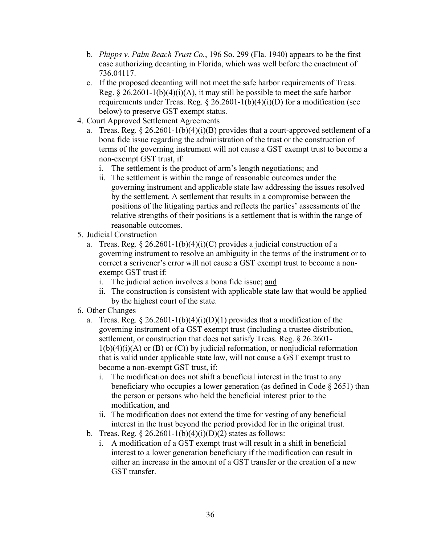- b. *Phipps v. Palm Beach Trust Co.*, 196 So. 299 (Fla. 1940) appears to be the first case authorizing decanting in Florida, which was well before the enactment of 736.04117.
- c. If the proposed decanting will not meet the safe harbor requirements of Treas. Reg. § 26.2601-1(b)(4)(i)(A), it may still be possible to meet the safe harbor requirements under Treas. Reg. § 26.2601-1(b)(4)(i)(D) for a modification (see below) to preserve GST exempt status.
- 4. Court Approved Settlement Agreements
	- a. Treas. Reg. § 26.2601-1(b)(4)(i)(B) provides that a court-approved settlement of a bona fide issue regarding the administration of the trust or the construction of terms of the governing instrument will not cause a GST exempt trust to become a non-exempt GST trust, if:
		- i. The settlement is the product of arm's length negotiations; and
		- ii. The settlement is within the range of reasonable outcomes under the governing instrument and applicable state law addressing the issues resolved by the settlement. A settlement that results in a compromise between the positions of the litigating parties and reflects the parties' assessments of the relative strengths of their positions is a settlement that is within the range of reasonable outcomes.
- 5. Judicial Construction
	- a. Treas. Reg. § 26.2601-1(b)(4)(i)(C) provides a judicial construction of a governing instrument to resolve an ambiguity in the terms of the instrument or to correct a scrivener's error will not cause a GST exempt trust to become a nonexempt GST trust if:
		- i. The judicial action involves a bona fide issue; and
		- ii. The construction is consistent with applicable state law that would be applied by the highest court of the state.
- 6. Other Changes
	- a. Treas. Reg. § 26.2601-1(b)(4)(i)(D)(1) provides that a modification of the governing instrument of a GST exempt trust (including a trustee distribution, settlement, or construction that does not satisfy Treas. Reg. § 26.2601-  $1(b)(4)(i)(A)$  or  $(B)$  or  $(C)$ ) by judicial reformation, or nonjudicial reformation that is valid under applicable state law, will not cause a GST exempt trust to become a non-exempt GST trust, if:
		- i. The modification does not shift a beneficial interest in the trust to any beneficiary who occupies a lower generation (as defined in Code  $\S$  2651) than the person or persons who held the beneficial interest prior to the modification, and
		- ii. The modification does not extend the time for vesting of any beneficial interest in the trust beyond the period provided for in the original trust.
	- b. Treas. Reg.  $\S 26.2601 1(b)(4)(i)(D)(2)$  states as follows:
		- i. A modification of a GST exempt trust will result in a shift in beneficial interest to a lower generation beneficiary if the modification can result in either an increase in the amount of a GST transfer or the creation of a new GST transfer.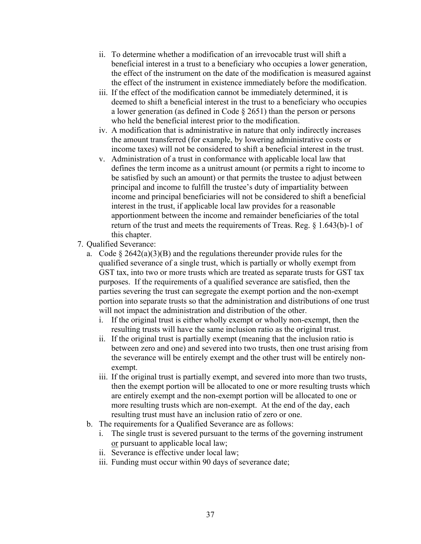- ii. To determine whether a modification of an irrevocable trust will shift a beneficial interest in a trust to a beneficiary who occupies a lower generation, the effect of the instrument on the date of the modification is measured against the effect of the instrument in existence immediately before the modification.
- iii. If the effect of the modification cannot be immediately determined, it is deemed to shift a beneficial interest in the trust to a beneficiary who occupies a lower generation (as defined in Code § 2651) than the person or persons who held the beneficial interest prior to the modification.
- iv. A modification that is administrative in nature that only indirectly increases the amount transferred (for example, by lowering administrative costs or income taxes) will not be considered to shift a beneficial interest in the trust.
- v. Administration of a trust in conformance with applicable local law that defines the term income as a unitrust amount (or permits a right to income to be satisfied by such an amount) or that permits the trustee to adjust between principal and income to fulfill the trustee's duty of impartiality between income and principal beneficiaries will not be considered to shift a beneficial interest in the trust, if applicable local law provides for a reasonable apportionment between the income and remainder beneficiaries of the total return of the trust and meets the requirements of Treas. Reg. § 1.643(b)-1 of this chapter.
- 7. Qualified Severance:
	- a. Code  $\S 2642(a)(3)(B)$  and the regulations thereunder provide rules for the qualified severance of a single trust, which is partially or wholly exempt from GST tax, into two or more trusts which are treated as separate trusts for GST tax purposes. If the requirements of a qualified severance are satisfied, then the parties severing the trust can segregate the exempt portion and the non-exempt portion into separate trusts so that the administration and distributions of one trust will not impact the administration and distribution of the other.
		- i. If the original trust is either wholly exempt or wholly non-exempt, then the resulting trusts will have the same inclusion ratio as the original trust.
		- ii. If the original trust is partially exempt (meaning that the inclusion ratio is between zero and one) and severed into two trusts, then one trust arising from the severance will be entirely exempt and the other trust will be entirely nonexempt.
		- iii. If the original trust is partially exempt, and severed into more than two trusts, then the exempt portion will be allocated to one or more resulting trusts which are entirely exempt and the non-exempt portion will be allocated to one or more resulting trusts which are non-exempt. At the end of the day, each resulting trust must have an inclusion ratio of zero or one.
	- b. The requirements for a Qualified Severance are as follows:
		- i. The single trust is severed pursuant to the terms of the governing instrument or pursuant to applicable local law;
		- ii. Severance is effective under local law;
		- iii. Funding must occur within 90 days of severance date;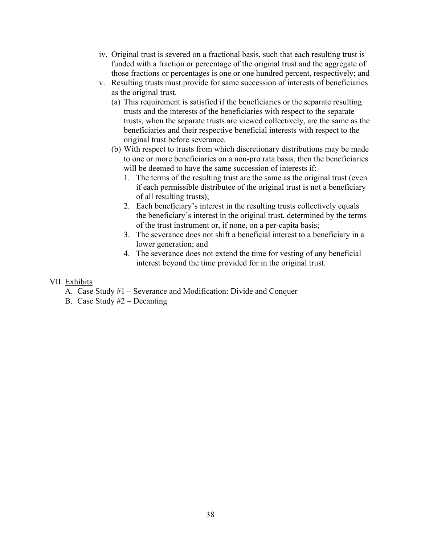- iv. Original trust is severed on a fractional basis, such that each resulting trust is funded with a fraction or percentage of the original trust and the aggregate of those fractions or percentages is one or one hundred percent, respectively; and
- v. Resulting trusts must provide for same succession of interests of beneficiaries as the original trust.
	- (a) This requirement is satisfied if the beneficiaries or the separate resulting trusts and the interests of the beneficiaries with respect to the separate trusts, when the separate trusts are viewed collectively, are the same as the beneficiaries and their respective beneficial interests with respect to the original trust before severance.
	- (b) With respect to trusts from which discretionary distributions may be made to one or more beneficiaries on a non-pro rata basis, then the beneficiaries will be deemed to have the same succession of interests if:
		- 1. The terms of the resulting trust are the same as the original trust (even if each permissible distributee of the original trust is not a beneficiary of all resulting trusts);
		- 2. Each beneficiary's interest in the resulting trusts collectively equals the beneficiary's interest in the original trust, determined by the terms of the trust instrument or, if none, on a per-capita basis;
		- 3. The severance does not shift a beneficial interest to a beneficiary in a lower generation; and
		- 4. The severance does not extend the time for vesting of any beneficial interest beyond the time provided for in the original trust.

# VII. Exhibits

- A. Case Study #1 Severance and Modification: Divide and Conquer
- B. Case Study #2 Decanting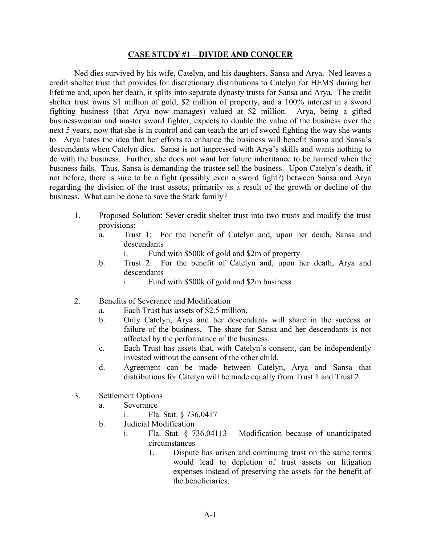### **CASE STUDY #1 – DIVIDE AND CONQUER**

Ned dies survived by his wife, Catelyn, and his daughters, Sansa and Arya. Ned leaves a credit shelter trust that provides for discretionary distributions to Catelyn for HEMS during her lifetime and, upon her death, it splits into separate dynasty trusts for Sansa and Arya. The credit shelter trust owns \$1 million of gold, \$2 million of property, and a 100% interest in a sword fighting business (that Arya now manages) valued at \$2 million. Arya, being a gifted businesswoman and master sword fighter, expects to double the value of the business over the next 5 years, now that she is in control and can teach the art of sword fighting the way she wants to. Arya hates the idea that her efforts to enhance the business will benefit Sansa and Sansa's descendants when Catelyn dies. Sansa is not impressed with Arya's skills and wants nothing to do with the business. Further, she does not want her future inheritance to be harmed when the business fails. Thus, Sansa is demanding the trustee sell the business. Upon Catelyn's death, if not before, there is sure to be a fight (possibly even a sword fight?) between Sansa and Arya regarding the division of the trust assets, primarily as a result of the growth or decline of the business. What can be done to save the Stark family?

- 1. Proposed Solution: Sever credit shelter trust into two trusts and modify the trust provisions:
	- a. Trust 1: For the benefit of Catelyn and, upon her death, Sansa and descendants
		- i. Fund with \$500k of gold and \$2m of property
	- b. Trust 2: For the benefit of Catelyn and, upon her death, Arya and descendants
		- i. Fund with \$500k of gold and \$2m business
- 2. Benefits of Severance and Modification
	- a. Each Trust has assets of \$2.5 million.
	- b. Only Catelyn, Arya and her descendants will share in the success or failure of the business. The share for Sansa and her descendants is not affected by the performance of the business.
	- c. Each Trust has assets that, with Catelyn's consent, can be independently invested without the consent of the other child.
	- d. Agreement can be made between Catelyn, Arya and Sansa that distributions for Catelyn will be made equally from Trust 1 and Trust 2.
- 3. Settlement Options
	- a. Severance
		- i. Fla. Stat. § 736.0417
	- b. Judicial Modification
		- i. Fla. Stat. § 736.04113 Modification because of unanticipated circumstances
			- 1. Dispute has arisen and continuing trust on the same terms would lead to depletion of trust assets on litigation expenses instead of preserving the assets for the benefit of the beneficiaries.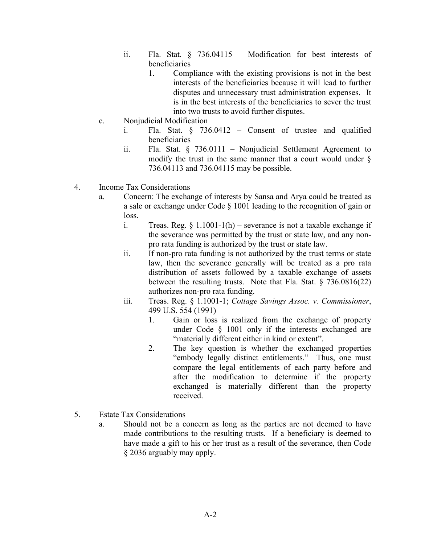- ii. Fla. Stat. § 736.04115 Modification for best interests of beneficiaries
	- 1. Compliance with the existing provisions is not in the best interests of the beneficiaries because it will lead to further disputes and unnecessary trust administration expenses. It is in the best interests of the beneficiaries to sever the trust into two trusts to avoid further disputes.
- c. Nonjudicial Modification
	- i. Fla. Stat. § 736.0412 Consent of trustee and qualified beneficiaries
	- ii. Fla. Stat. § 736.0111 Nonjudicial Settlement Agreement to modify the trust in the same manner that a court would under § 736.04113 and 736.04115 may be possible.
- 4. Income Tax Considerations
	- a. Concern: The exchange of interests by Sansa and Arya could be treated as a sale or exchange under Code § 1001 leading to the recognition of gain or loss.
		- i. Treas. Reg.  $\S 1.1001-1(h)$  severance is not a taxable exchange if the severance was permitted by the trust or state law, and any nonpro rata funding is authorized by the trust or state law.
		- ii. If non-pro rata funding is not authorized by the trust terms or state law, then the severance generally will be treated as a pro rata distribution of assets followed by a taxable exchange of assets between the resulting trusts. Note that Fla. Stat. § 736.0816(22) authorizes non-pro rata funding.
		- iii. Treas. Reg. § 1.1001-1; *Cottage Savings Assoc. v. Commissioner*, 499 U.S. 554 (1991)
			- 1. Gain or loss is realized from the exchange of property under Code § 1001 only if the interests exchanged are "materially different either in kind or extent".
			- 2. The key question is whether the exchanged properties "embody legally distinct entitlements." Thus, one must compare the legal entitlements of each party before and after the modification to determine if the property exchanged is materially different than the property received.
- 5. Estate Tax Considerations
	- a. Should not be a concern as long as the parties are not deemed to have made contributions to the resulting trusts. If a beneficiary is deemed to have made a gift to his or her trust as a result of the severance, then Code § 2036 arguably may apply.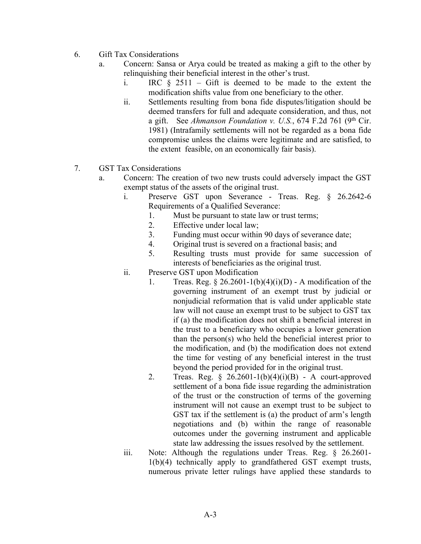- 6. Gift Tax Considerations
	- a. Concern: Sansa or Arya could be treated as making a gift to the other by relinquishing their beneficial interest in the other's trust.
		- i. IRC  $\S$  2511 Gift is deemed to be made to the extent the modification shifts value from one beneficiary to the other.
		- ii. Settlements resulting from bona fide disputes/litigation should be deemed transfers for full and adequate consideration, and thus, not a gift. See *Ahmanson Foundation v. U.S.*, 674 F.2d 761 (9<sup>th</sup> Cir. 1981) (Intrafamily settlements will not be regarded as a bona fide compromise unless the claims were legitimate and are satisfied, to the extent feasible, on an economically fair basis).
- 7. GST Tax Considerations
	- a. Concern: The creation of two new trusts could adversely impact the GST exempt status of the assets of the original trust.
		- i. Preserve GST upon Severance Treas. Reg. § 26.2642-6 Requirements of a Qualified Severance:
			- 1. Must be pursuant to state law or trust terms;
			- 2. Effective under local law;
			- 3. Funding must occur within 90 days of severance date;
			- 4. Original trust is severed on a fractional basis; and
			- 5. Resulting trusts must provide for same succession of interests of beneficiaries as the original trust.
		- ii. Preserve GST upon Modification
			- 1. Treas. Reg.  $\S 26.2601 1(b)(4)(i)(D)$  A modification of the governing instrument of an exempt trust by judicial or nonjudicial reformation that is valid under applicable state law will not cause an exempt trust to be subject to GST tax if (a) the modification does not shift a beneficial interest in the trust to a beneficiary who occupies a lower generation than the person(s) who held the beneficial interest prior to the modification, and (b) the modification does not extend the time for vesting of any beneficial interest in the trust beyond the period provided for in the original trust.
			- 2. Treas. Reg. § 26.2601-1(b)(4)(i)(B) A court-approved settlement of a bona fide issue regarding the administration of the trust or the construction of terms of the governing instrument will not cause an exempt trust to be subject to GST tax if the settlement is (a) the product of arm's length negotiations and (b) within the range of reasonable outcomes under the governing instrument and applicable state law addressing the issues resolved by the settlement.
		- iii. Note: Although the regulations under Treas. Reg. § 26.2601- 1(b)(4) technically apply to grandfathered GST exempt trusts, numerous private letter rulings have applied these standards to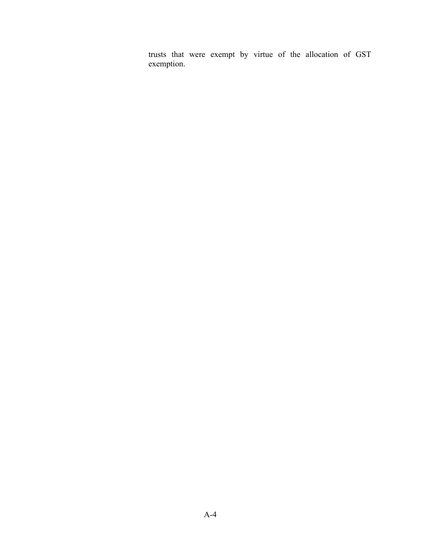trusts that were exempt by virtue of the allocation of GST exemption.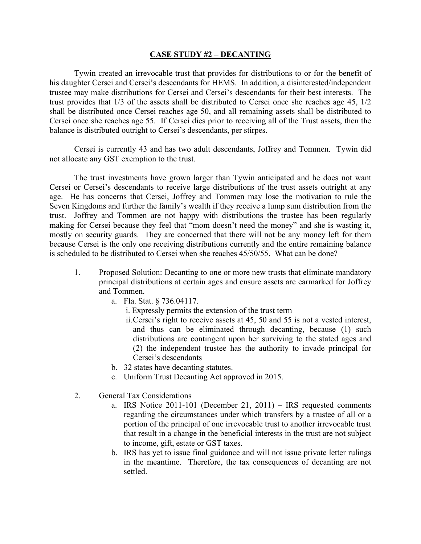### **CASE STUDY #2 – DECANTING**

Tywin created an irrevocable trust that provides for distributions to or for the benefit of his daughter Cersei and Cersei's descendants for HEMS. In addition, a disinterested/independent trustee may make distributions for Cersei and Cersei's descendants for their best interests. The trust provides that 1/3 of the assets shall be distributed to Cersei once she reaches age 45, 1/2 shall be distributed once Cersei reaches age 50, and all remaining assets shall be distributed to Cersei once she reaches age 55. If Cersei dies prior to receiving all of the Trust assets, then the balance is distributed outright to Cersei's descendants, per stirpes.

Cersei is currently 43 and has two adult descendants, Joffrey and Tommen. Tywin did not allocate any GST exemption to the trust.

The trust investments have grown larger than Tywin anticipated and he does not want Cersei or Cersei's descendants to receive large distributions of the trust assets outright at any age. He has concerns that Cersei, Joffrey and Tommen may lose the motivation to rule the Seven Kingdoms and further the family's wealth if they receive a lump sum distribution from the trust. Joffrey and Tommen are not happy with distributions the trustee has been regularly making for Cersei because they feel that "mom doesn't need the money" and she is wasting it, mostly on security guards. They are concerned that there will not be any money left for them because Cersei is the only one receiving distributions currently and the entire remaining balance is scheduled to be distributed to Cersei when she reaches 45/50/55. What can be done?

- 1. Proposed Solution: Decanting to one or more new trusts that eliminate mandatory principal distributions at certain ages and ensure assets are earmarked for Joffrey and Tommen.
	- a. Fla. Stat. § 736.04117.
		- i. Expressly permits the extension of the trust term
		- ii.Cersei's right to receive assets at 45, 50 and 55 is not a vested interest, and thus can be eliminated through decanting, because (1) such distributions are contingent upon her surviving to the stated ages and (2) the independent trustee has the authority to invade principal for Cersei's descendants
	- b. 32 states have decanting statutes.
	- c. Uniform Trust Decanting Act approved in 2015.
- 2. General Tax Considerations
	- a. IRS Notice 2011-101 (December 21, 2011) IRS requested comments regarding the circumstances under which transfers by a trustee of all or a portion of the principal of one irrevocable trust to another irrevocable trust that result in a change in the beneficial interests in the trust are not subject to income, gift, estate or GST taxes.
	- b. IRS has yet to issue final guidance and will not issue private letter rulings in the meantime. Therefore, the tax consequences of decanting are not settled.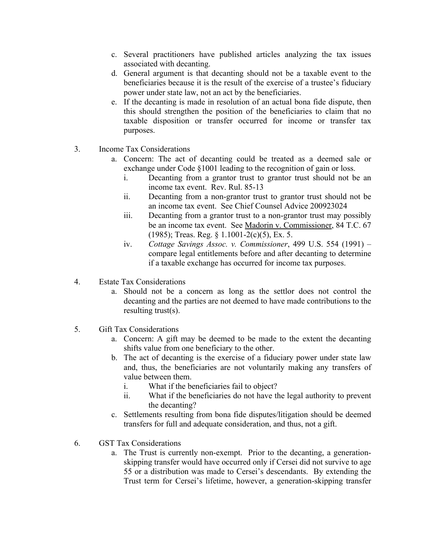- c. Several practitioners have published articles analyzing the tax issues associated with decanting.
- d. General argument is that decanting should not be a taxable event to the beneficiaries because it is the result of the exercise of a trustee's fiduciary power under state law, not an act by the beneficiaries.
- e. If the decanting is made in resolution of an actual bona fide dispute, then this should strengthen the position of the beneficiaries to claim that no taxable disposition or transfer occurred for income or transfer tax purposes.
- 3. Income Tax Considerations
	- a. Concern: The act of decanting could be treated as a deemed sale or exchange under Code §1001 leading to the recognition of gain or loss.
		- i. Decanting from a grantor trust to grantor trust should not be an income tax event. Rev. Rul. 85-13
		- ii. Decanting from a non-grantor trust to grantor trust should not be an income tax event. See Chief Counsel Advice 200923024
		- iii. Decanting from a grantor trust to a non-grantor trust may possibly be an income tax event. See Madorin v. Commissioner, 84 T.C. 67 (1985); Treas. Reg. § 1.1001-2(c)(5), Ex. 5.
		- iv. *Cottage Savings Assoc. v. Commissioner*, 499 U.S. 554 (1991) compare legal entitlements before and after decanting to determine if a taxable exchange has occurred for income tax purposes.
- 4. Estate Tax Considerations
	- a. Should not be a concern as long as the settlor does not control the decanting and the parties are not deemed to have made contributions to the resulting trust(s).
- 5. Gift Tax Considerations
	- a. Concern: A gift may be deemed to be made to the extent the decanting shifts value from one beneficiary to the other.
	- b. The act of decanting is the exercise of a fiduciary power under state law and, thus, the beneficiaries are not voluntarily making any transfers of value between them.
		- i. What if the beneficiaries fail to object?
		- ii. What if the beneficiaries do not have the legal authority to prevent the decanting?
	- c. Settlements resulting from bona fide disputes/litigation should be deemed transfers for full and adequate consideration, and thus, not a gift.
- 6. GST Tax Considerations
	- a. The Trust is currently non-exempt. Prior to the decanting, a generationskipping transfer would have occurred only if Cersei did not survive to age 55 or a distribution was made to Cersei's descendants. By extending the Trust term for Cersei's lifetime, however, a generation-skipping transfer